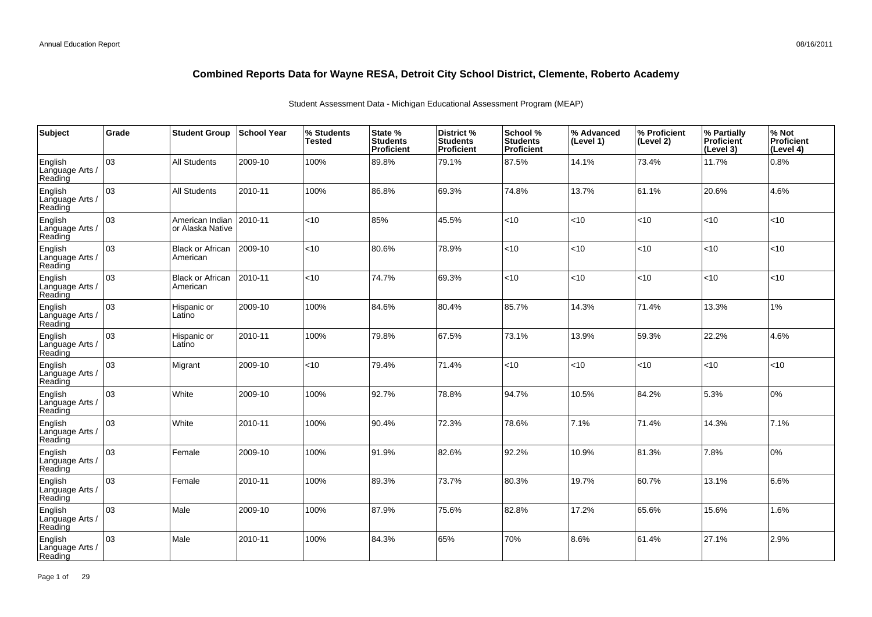| Subject                               | Grade | <b>Student Group</b>                | <b>School Year</b> | % Students<br><b>Tested</b> | State %<br><b>Students</b><br>Proficient | <b>District %</b><br><b>Students</b><br>Proficient | School %<br><b>Students</b><br><b>Proficient</b> | % Advanced<br>(Level 1) | % Proficient<br>(Level 2) | % Partially<br>Proficient<br>(Level 3) | % Not<br>Proficient<br>(Level 4) |
|---------------------------------------|-------|-------------------------------------|--------------------|-----------------------------|------------------------------------------|----------------------------------------------------|--------------------------------------------------|-------------------------|---------------------------|----------------------------------------|----------------------------------|
| English<br>Language Arts /<br>Reading | 03    | <b>All Students</b>                 | 2009-10            | 100%                        | 89.8%                                    | 79.1%                                              | 87.5%                                            | 14.1%                   | 73.4%                     | 11.7%                                  | 0.8%                             |
| English<br>Language Arts /<br>Reading | 03    | <b>All Students</b>                 | 2010-11            | 100%                        | 86.8%                                    | 69.3%                                              | 74.8%                                            | 13.7%                   | 61.1%                     | 20.6%                                  | 4.6%                             |
| English<br>Language Arts /<br>Reading | 03    | American Indian<br>or Alaska Native | 2010-11            | <10                         | 85%                                      | 45.5%                                              | $<$ 10                                           | <10                     | <10                       | < 10                                   | <10                              |
| English<br>Language Arts /<br>Reading | 03    | <b>Black or African</b><br>American | 2009-10            | <10                         | 80.6%                                    | 78.9%                                              | <10                                              | <10                     | <10                       | < 10                                   | <10                              |
| English<br>Language Arts /<br>Reading | 03    | <b>Black or African</b><br>American | 2010-11            | <10                         | 74.7%                                    | 69.3%                                              | < 10                                             | <10                     | $<$ 10                    | < 10                                   | <10                              |
| English<br>Language Arts /<br>Reading | 03    | Hispanic or<br>Latino               | 2009-10            | 100%                        | 84.6%                                    | 80.4%                                              | 85.7%                                            | 14.3%                   | 71.4%                     | 13.3%                                  | 1%                               |
| English<br>Language Arts /<br>Reading | 03    | Hispanic or<br>Latino               | 2010-11            | 100%                        | 79.8%                                    | 67.5%                                              | 73.1%                                            | 13.9%                   | 59.3%                     | 22.2%                                  | 4.6%                             |
| English<br>Language Arts<br>Reading   | 03    | Migrant                             | 2009-10            | <10                         | 79.4%                                    | 71.4%                                              | <10                                              | <10                     | <10                       | < 10                                   | <10                              |
| English<br>Language Arts<br>Reading   | 03    | White                               | 2009-10            | 100%                        | 92.7%                                    | 78.8%                                              | 94.7%                                            | 10.5%                   | 84.2%                     | 5.3%                                   | 0%                               |
| English<br>Language Arts<br>Reading   | 03    | White                               | 2010-11            | 100%                        | 90.4%                                    | 72.3%                                              | 78.6%                                            | 7.1%                    | 71.4%                     | 14.3%                                  | 7.1%                             |
| English<br>Language Arts<br>Reading   | 03    | Female                              | 2009-10            | 100%                        | 91.9%                                    | 82.6%                                              | 92.2%                                            | 10.9%                   | 81.3%                     | 7.8%                                   | 0%                               |
| English<br>Language Arts<br>Reading   | 03    | Female                              | 2010-11            | 100%                        | 89.3%                                    | 73.7%                                              | 80.3%                                            | 19.7%                   | 60.7%                     | 13.1%                                  | 6.6%                             |
| English<br>Language Arts /<br>Reading | 03    | Male                                | 2009-10            | 100%                        | 87.9%                                    | 75.6%                                              | 82.8%                                            | 17.2%                   | 65.6%                     | 15.6%                                  | 1.6%                             |
| English<br>Language Arts<br>Reading   | 03    | Male                                | 2010-11            | 100%                        | 84.3%                                    | 65%                                                | 70%                                              | 8.6%                    | 61.4%                     | 27.1%                                  | 2.9%                             |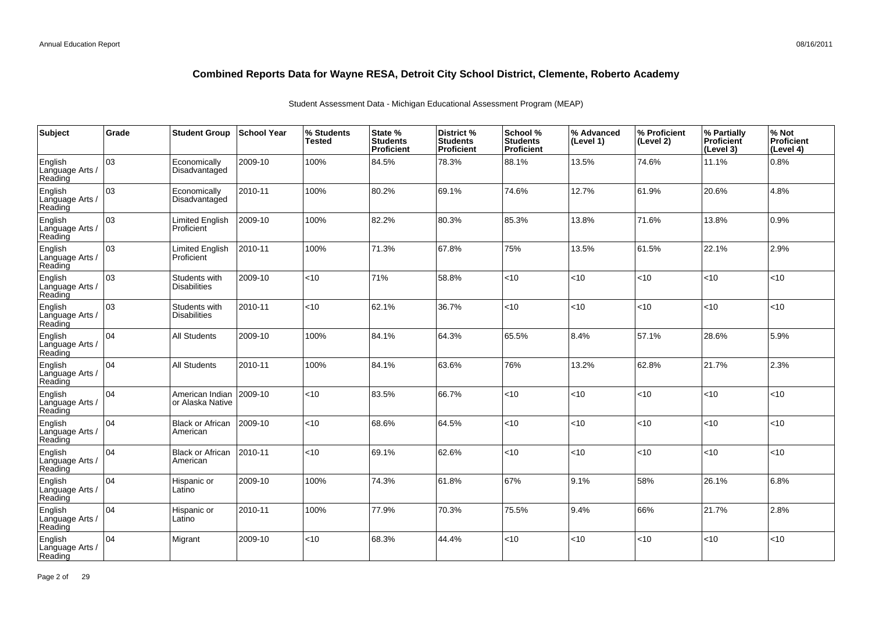| Subject                               | Grade | <b>Student Group</b>                 | <b>School Year</b> | % Students<br><b>Tested</b> | State %<br><b>Students</b><br>Proficient | District %<br><b>Students</b><br>Proficient | School %<br><b>Students</b><br><b>Proficient</b> | % Advanced<br>(Level 1) | │% Proficient<br>(Level 2) | % Partially<br>Proficient<br>(Level 3) | % Not<br>Proficient<br>(Level 4) |
|---------------------------------------|-------|--------------------------------------|--------------------|-----------------------------|------------------------------------------|---------------------------------------------|--------------------------------------------------|-------------------------|----------------------------|----------------------------------------|----------------------------------|
| English<br>Language Arts /<br>Reading | оз    | Economically<br>Disadvantaged        | 2009-10            | 100%                        | 84.5%                                    | 78.3%                                       | 88.1%                                            | 13.5%                   | 74.6%                      | 11.1%                                  | 0.8%                             |
| English<br>Language Arts /<br>Reading | lоз   | Economically<br>Disadvantaged        | 2010-11            | 100%                        | 80.2%                                    | 69.1%                                       | 74.6%                                            | 12.7%                   | 61.9%                      | 20.6%                                  | 4.8%                             |
| English<br>Language Arts /<br>Reading | 03    | Limited English<br>Proficient        | 2009-10            | 100%                        | 82.2%                                    | 80.3%                                       | 85.3%                                            | 13.8%                   | 71.6%                      | 13.8%                                  | 0.9%                             |
| English<br>Language Arts /<br>Reading | оз    | Limited English<br>Proficient        | 2010-11            | 100%                        | 71.3%                                    | 67.8%                                       | 75%                                              | 13.5%                   | 61.5%                      | 22.1%                                  | 2.9%                             |
| English<br>Language Arts /<br>Reading | 03    | Students with<br><b>Disabilities</b> | 2009-10            | $<$ 10                      | 71%                                      | 58.8%                                       | < 10                                             | <10                     | $<$ 10                     | < 10                                   | <10                              |
| English<br>Language Arts /<br>Reading | 03    | Students with<br><b>Disabilities</b> | 2010-11            | <10                         | 62.1%                                    | 36.7%                                       | <10                                              | < 10                    | < 10                       | <10                                    | <10                              |
| English<br>Language Arts /<br>Reading | 04    | <b>All Students</b>                  | 2009-10            | 100%                        | 84.1%                                    | 64.3%                                       | 65.5%                                            | 8.4%                    | 57.1%                      | 28.6%                                  | 5.9%                             |
| English<br>Language Arts /<br>Reading | 04    | <b>All Students</b>                  | 2010-11            | 100%                        | 84.1%                                    | 63.6%                                       | 76%                                              | 13.2%                   | 62.8%                      | 21.7%                                  | 2.3%                             |
| English<br>Language Arts /<br>Reading | 104   | American Indian<br>or Alaska Native  | 2009-10            | <10                         | 83.5%                                    | 66.7%                                       | < 10                                             | <10                     | < 10                       | < 10                                   | <10                              |
| English<br>Language Arts /<br>Reading | 04    | <b>Black or African</b><br>American  | 2009-10            | <10                         | 68.6%                                    | 64.5%                                       | <10                                              | < 10                    | < 10                       | < 10                                   | <10                              |
| English<br>Language Arts /<br>Reading | 104   | <b>Black or African</b><br>American  | 2010-11            | <10                         | 69.1%                                    | 62.6%                                       | <10                                              | < 10                    | <10                        | <10                                    | <10                              |
| English<br>Language Arts /<br>Reading | 04    | Hispanic or<br>Latino                | 2009-10            | 100%                        | 74.3%                                    | 61.8%                                       | 67%                                              | 9.1%                    | 58%                        | 26.1%                                  | 6.8%                             |
| English<br>Language Arts /<br>Reading | 104   | Hispanic or<br>Latino                | 2010-11            | 100%                        | 77.9%                                    | 70.3%                                       | 75.5%                                            | 9.4%                    | 66%                        | 21.7%                                  | 2.8%                             |
| English<br>Language Arts<br>Reading   | 04    | Migrant                              | 2009-10            | < 10                        | 68.3%                                    | 44.4%                                       | < 10                                             | < 10                    | < 10                       | < 10                                   | <10                              |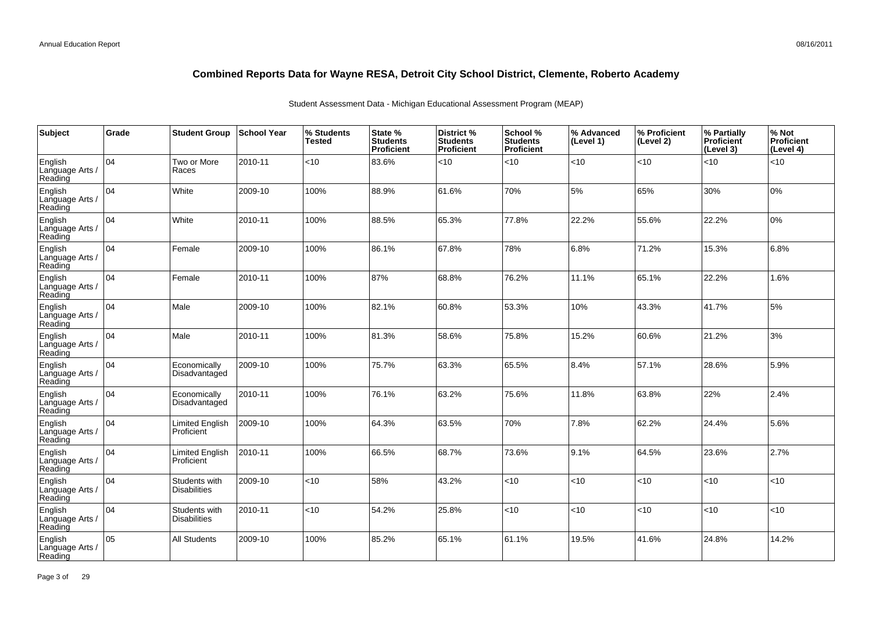| Subject                               | Grade | <b>Student Group</b>                 | <b>School Year</b> | % Students<br><b>Tested</b> | State %<br><b>Students</b><br>Proficient | District%<br><b>Students</b><br>Proficient | School %<br><b>Students</b><br>Proficient | % Advanced<br>(Level 1) | % Proficient<br>(Level 2) | % Partially<br><b>Proficient</b><br>(Level 3) | % Not<br>Proficient<br>(Level 4) |
|---------------------------------------|-------|--------------------------------------|--------------------|-----------------------------|------------------------------------------|--------------------------------------------|-------------------------------------------|-------------------------|---------------------------|-----------------------------------------------|----------------------------------|
| English<br>Language Arts /<br>Reading | 104   | Two or More<br>Races                 | 2010-11            | < 10                        | 83.6%                                    | $<$ 10                                     | < 10                                      | < 10                    | $<$ 10                    | < 10                                          | < 10                             |
| English<br>Language Arts /<br>Reading | 104   | White                                | 2009-10            | 100%                        | 88.9%                                    | 61.6%                                      | 70%                                       | 5%                      | 65%                       | 30%                                           | 0%                               |
| English<br>Language Arts /<br>Reading | 104   | White                                | 2010-11            | 100%                        | 88.5%                                    | 65.3%                                      | 77.8%                                     | 22.2%                   | 55.6%                     | 22.2%                                         | 0%                               |
| English<br>Language Arts /<br>Reading | 104   | Female                               | 2009-10            | 100%                        | 86.1%                                    | 67.8%                                      | 78%                                       | 6.8%                    | 71.2%                     | 15.3%                                         | 6.8%                             |
| English<br>Language Arts /<br>Reading | 04    | Female                               | 2010-11            | 100%                        | 87%                                      | 68.8%                                      | 76.2%                                     | 11.1%                   | 65.1%                     | 22.2%                                         | 1.6%                             |
| English<br>Language Arts /<br>Reading | 04    | Male                                 | 2009-10            | 100%                        | 82.1%                                    | 60.8%                                      | 53.3%                                     | 10%                     | 43.3%                     | 41.7%                                         | 5%                               |
| English<br>Language Arts /<br>Reading | 104   | Male                                 | 2010-11            | 100%                        | 81.3%                                    | 58.6%                                      | 75.8%                                     | 15.2%                   | 60.6%                     | 21.2%                                         | 3%                               |
| English<br>Language Arts<br>Reading   | 04    | Economically<br>Disadvantaged        | 2009-10            | 100%                        | 75.7%                                    | 63.3%                                      | 65.5%                                     | 8.4%                    | 57.1%                     | 28.6%                                         | 5.9%                             |
| English<br>Language Arts<br>Reading   | 04    | Economically<br>Disadvantaged        | 2010-11            | 100%                        | 76.1%                                    | 63.2%                                      | 75.6%                                     | 11.8%                   | 63.8%                     | 22%                                           | 2.4%                             |
| English<br>Language Arts /<br>Reading | 104   | <b>Limited English</b><br>Proficient | 2009-10            | 100%                        | 64.3%                                    | 63.5%                                      | 70%                                       | 7.8%                    | 62.2%                     | 24.4%                                         | 5.6%                             |
| English<br>Language Arts /<br>Reading | 04    | Limited English<br>Proficient        | 2010-11            | 100%                        | 66.5%                                    | 68.7%                                      | 73.6%                                     | 9.1%                    | 64.5%                     | 23.6%                                         | 2.7%                             |
| English<br>Language Arts<br>Reading   | 104   | Students with<br><b>Disabilities</b> | 2009-10            | $<$ 10                      | 58%                                      | 43.2%                                      | <10                                       | < 10                    | <10                       | < 10                                          | <10                              |
| English<br>Language Arts /<br>Reading | 04    | Students with<br><b>Disabilities</b> | 2010-11            | < 10                        | 54.2%                                    | 25.8%                                      | $<$ 10                                    | < 10                    | $<$ 10                    | < 10                                          | <10                              |
| English<br>Language Arts<br>Reading   | 05    | <b>All Students</b>                  | 2009-10            | 100%                        | 85.2%                                    | 65.1%                                      | 61.1%                                     | 19.5%                   | 41.6%                     | 24.8%                                         | 14.2%                            |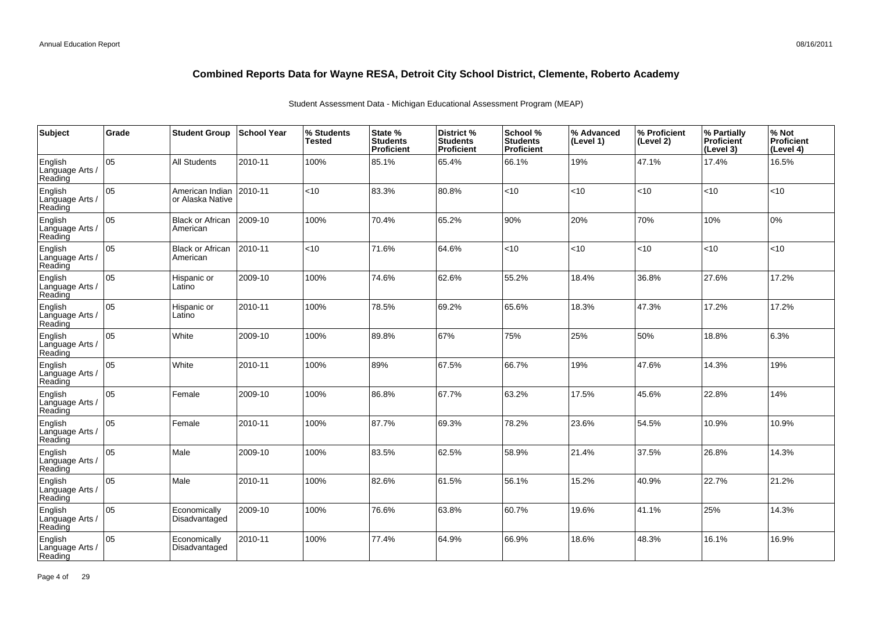| Subject                               | Grade | <b>Student Group</b>                | ∣School Year | % Students<br><b>Tested</b> | State %<br><b>Students</b><br>Proficient | District %<br><b>Students</b><br>Proficient | School %<br><b>Students</b><br><b>Proficient</b> | % Advanced<br>(Level 1) | % Proficient<br>(Level 2) | % Partially<br>Proficient<br>(Level 3) | % Not<br>Proficient<br>(Level 4) |
|---------------------------------------|-------|-------------------------------------|--------------|-----------------------------|------------------------------------------|---------------------------------------------|--------------------------------------------------|-------------------------|---------------------------|----------------------------------------|----------------------------------|
| English<br>Language Arts /<br>Reading | 05    | All Students                        | 2010-11      | 100%                        | 85.1%                                    | 65.4%                                       | 66.1%                                            | 19%                     | 47.1%                     | 17.4%                                  | 16.5%                            |
| English<br>Language Arts /<br>Reading | 05    | American Indian<br>or Alaska Native | 2010-11      | <10                         | 83.3%                                    | 80.8%                                       | <10                                              | <10                     | <10                       | <10                                    | <10                              |
| English<br>Language Arts /<br>Reading | 05    | <b>Black or African</b><br>American | 2009-10      | 100%                        | 70.4%                                    | 65.2%                                       | 90%                                              | 20%                     | 70%                       | 10%                                    | 0%                               |
| English<br>Language Arts /<br>Reading | 05    | <b>Black or African</b><br>American | 2010-11      | <10                         | 71.6%                                    | 64.6%                                       | <10                                              | <10                     | <10                       | < 10                                   | <10                              |
| English<br>Language Arts /<br>Reading | 05    | Hispanic or<br>Latino               | 2009-10      | 100%                        | 74.6%                                    | 62.6%                                       | 55.2%                                            | 18.4%                   | 36.8%                     | 27.6%                                  | 17.2%                            |
| English<br>Language Arts /<br>Reading | 05    | Hispanic or<br>Latino               | 2010-11      | 100%                        | 78.5%                                    | 69.2%                                       | 65.6%                                            | 18.3%                   | 47.3%                     | 17.2%                                  | 17.2%                            |
| English<br>Language Arts /<br>Reading | 05    | White                               | 2009-10      | 100%                        | 89.8%                                    | 67%                                         | 75%                                              | 25%                     | 50%                       | 18.8%                                  | 6.3%                             |
| English<br>Language Arts<br>Reading   | 05    | White                               | 2010-11      | 100%                        | 89%                                      | 67.5%                                       | 66.7%                                            | 19%                     | 47.6%                     | 14.3%                                  | 19%                              |
| English<br>Language Arts<br>Reading   | 05    | Female                              | 2009-10      | 100%                        | 86.8%                                    | 67.7%                                       | 63.2%                                            | 17.5%                   | 45.6%                     | 22.8%                                  | 14%                              |
| English<br>Language Arts<br>Reading   | 05    | Female                              | 2010-11      | 100%                        | 87.7%                                    | 69.3%                                       | 78.2%                                            | 23.6%                   | 54.5%                     | 10.9%                                  | 10.9%                            |
| English<br>Language Arts<br>Reading   | lo5   | Male                                | 2009-10      | 100%                        | 83.5%                                    | 62.5%                                       | 58.9%                                            | 21.4%                   | 37.5%                     | 26.8%                                  | 14.3%                            |
| English<br>Language Arts<br>Reading   | 05    | Male                                | 2010-11      | 100%                        | 82.6%                                    | 61.5%                                       | 56.1%                                            | 15.2%                   | 40.9%                     | 22.7%                                  | 21.2%                            |
| English<br>Language Arts<br>Reading   | 05    | Economically<br>Disadvantaged       | 2009-10      | 100%                        | 76.6%                                    | 63.8%                                       | 60.7%                                            | 19.6%                   | 41.1%                     | 25%                                    | 14.3%                            |
| English<br>Language Arts<br>Reading   | 05    | Economically<br>Disadvantaged       | 2010-11      | 100%                        | 77.4%                                    | 64.9%                                       | 66.9%                                            | 18.6%                   | 48.3%                     | 16.1%                                  | 16.9%                            |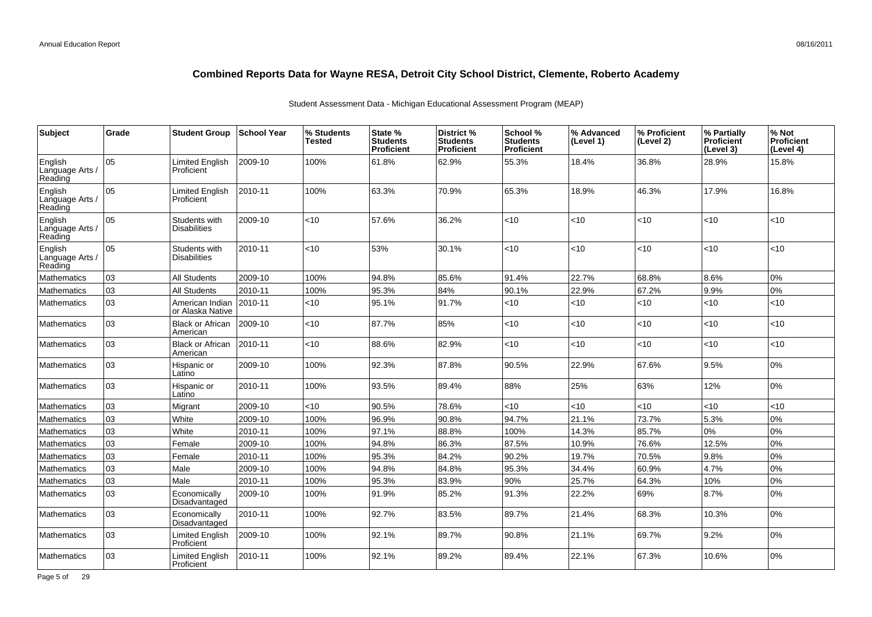| <b>Subject</b>                        | Grade | <b>Student Group</b>                 | <b>School Year</b> | % Students<br>Tested | State %<br><b>Students</b><br>Proficient | <b>District %</b><br><b>Students</b><br>Proficient | School %<br><b>Students</b><br><b>Proficient</b> | % Advanced<br>(Level 1) | % Proficient<br>(Level 2) | % Partially<br>Proficient<br>(Level 3) | % Not<br><b>Proficient</b><br>(Level 4) |
|---------------------------------------|-------|--------------------------------------|--------------------|----------------------|------------------------------------------|----------------------------------------------------|--------------------------------------------------|-------------------------|---------------------------|----------------------------------------|-----------------------------------------|
| English<br>Language Arts /<br>Reading | l 05  | <b>Limited English</b><br>Proficient | 2009-10            | 100%                 | 61.8%                                    | 62.9%                                              | 55.3%                                            | 18.4%                   | 36.8%                     | 28.9%                                  | 15.8%                                   |
| English<br>Language Arts /<br>Reading | 05    | Limited English<br>Proficient        | 2010-11            | 100%                 | 63.3%                                    | 70.9%                                              | 65.3%                                            | 18.9%                   | 46.3%                     | 17.9%                                  | 16.8%                                   |
| English<br>Language Arts /<br>Reading | 05    | Students with<br><b>Disabilities</b> | 2009-10            | <10                  | 57.6%                                    | 36.2%                                              | <10                                              | < 10                    | <10                       | < 10                                   | <10                                     |
| English<br>Language Arts /<br>Reading | 05    | Students with<br><b>Disabilities</b> | 2010-11            | $<$ 10               | 53%                                      | 30.1%                                              | $<$ 10                                           | <10                     | $<$ 10                    | $ $ < 10                               | <10                                     |
| Mathematics                           | 03    | <b>All Students</b>                  | 2009-10            | 100%                 | 94.8%                                    | 85.6%                                              | 91.4%                                            | 22.7%                   | 68.8%                     | 8.6%                                   | 0%                                      |
| Mathematics                           | 03    | <b>All Students</b>                  | 2010-11            | 100%                 | 95.3%                                    | 84%                                                | 90.1%                                            | 22.9%                   | 67.2%                     | 9.9%                                   | 0%                                      |
| <b>Mathematics</b>                    | 03    | American Indian<br>or Alaska Native  | 2010-11            | <10                  | 95.1%                                    | 91.7%                                              | <10                                              | <10                     | <10                       | $ $ < 10                               | <10                                     |
| Mathematics                           | 03    | Black or African<br>American         | 2009-10            | <10                  | 87.7%                                    | 85%                                                | $<$ 10                                           | < 10                    | <10                       | < 10                                   | <10                                     |
| <b>Mathematics</b>                    | 03    | <b>Black or African</b><br>American  | 2010-11            | <10                  | 88.6%                                    | 82.9%                                              | $<$ 10                                           | < 10                    | <10                       | $<10$                                  | <10                                     |
| <b>Mathematics</b>                    | 03    | Hispanic or<br>Latino                | 2009-10            | 100%                 | 92.3%                                    | 87.8%                                              | 90.5%                                            | 22.9%                   | 67.6%                     | 9.5%                                   | $0\%$                                   |
| <b>Mathematics</b>                    | 03    | Hispanic or<br>Latino                | 2010-11            | 100%                 | 93.5%                                    | 89.4%                                              | 88%                                              | 25%                     | 63%                       | 12%                                    | 0%                                      |
| Mathematics                           | lоз   | Migrant                              | 2009-10            | <10                  | 90.5%                                    | 78.6%                                              | <10                                              | < 10                    | <10                       | < 10                                   | <10                                     |
| Mathematics                           | 03    | White                                | 2009-10            | 100%                 | 96.9%                                    | 90.8%                                              | 94.7%                                            | 21.1%                   | 73.7%                     | 5.3%                                   | 0%                                      |
| Mathematics                           | 03    | White                                | 2010-11            | 100%                 | 97.1%                                    | 88.8%                                              | 100%                                             | 14.3%                   | 85.7%                     | 0%                                     | 0%                                      |
| Mathematics                           | 03    | Female                               | 2009-10            | 100%                 | 94.8%                                    | 86.3%                                              | 87.5%                                            | 10.9%                   | 76.6%                     | 12.5%                                  | 0%                                      |
| <b>Mathematics</b>                    | 03    | Female                               | 2010-11            | 100%                 | 95.3%                                    | 84.2%                                              | 90.2%                                            | 19.7%                   | 70.5%                     | 9.8%                                   | 0%                                      |
| Mathematics                           | lоз   | Male                                 | 2009-10            | 100%                 | 94.8%                                    | 84.8%                                              | 95.3%                                            | 34.4%                   | 60.9%                     | 4.7%                                   | 0%                                      |
| <b>Mathematics</b>                    | 03    | Male                                 | 2010-11            | 100%                 | 95.3%                                    | 83.9%                                              | 90%                                              | 25.7%                   | 64.3%                     | 10%                                    | 0%                                      |
| Mathematics                           | 03    | Economically<br>Disadvantaged        | 2009-10            | 100%                 | 91.9%                                    | 85.2%                                              | 91.3%                                            | 22.2%                   | 69%                       | 8.7%                                   | 0%                                      |
| Mathematics                           | 03    | Economically<br>Disadvantaged        | 2010-11            | 100%                 | 92.7%                                    | 83.5%                                              | 89.7%                                            | 21.4%                   | 68.3%                     | 10.3%                                  | 0%                                      |
| Mathematics                           | 03    | <b>Limited English</b><br>Proficient | 2009-10            | 100%                 | 92.1%                                    | 89.7%                                              | 90.8%                                            | 21.1%                   | 69.7%                     | 9.2%                                   | 0%                                      |
| <b>Mathematics</b>                    | 03    | <b>Limited English</b><br>Proficient | 2010-11            | 100%                 | 92.1%                                    | 89.2%                                              | 89.4%                                            | 22.1%                   | 67.3%                     | 10.6%                                  | 0%                                      |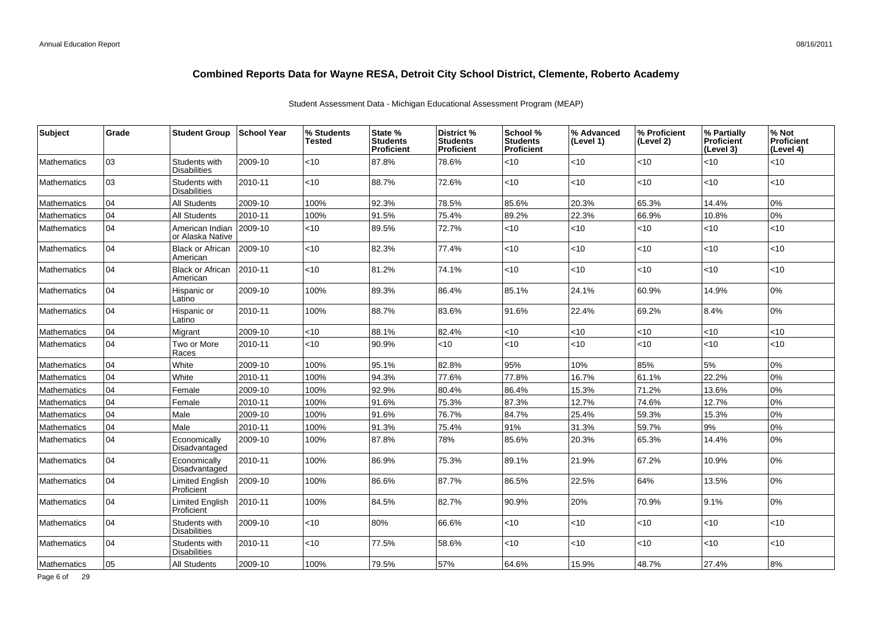| <b>Subject</b>     | Grade | <b>Student Group</b>                 | ∣School Year | % Students<br><b>Tested</b> | State %<br><b>Students</b><br><b>Proficient</b> | <b>District %</b><br><b>Students</b><br><b>Proficient</b> | School %<br><b>Students</b><br><b>Proficient</b> | % Advanced<br>(Level 1) | % Proficient<br>(Level 2) | % Partially<br>Proficient<br>(Level 3) | % Not<br>Proficient<br>(Level 4) |
|--------------------|-------|--------------------------------------|--------------|-----------------------------|-------------------------------------------------|-----------------------------------------------------------|--------------------------------------------------|-------------------------|---------------------------|----------------------------------------|----------------------------------|
| <b>Mathematics</b> | 03    | Students with<br><b>Disabilities</b> | 2009-10      | $<$ 10                      | 87.8%                                           | 78.6%                                                     | $<$ 10                                           | $<$ 10                  | $<$ 10                    | < 10                                   | < 10                             |
| <b>Mathematics</b> | 03    | Students with<br><b>Disabilities</b> | 2010-11      | $<$ 10                      | 88.7%                                           | 72.6%                                                     | $<$ 10                                           | < 10                    | $<$ 10                    | $<$ 10                                 | $<$ 10                           |
| <b>Mathematics</b> | 04    | <b>All Students</b>                  | 2009-10      | 100%                        | 92.3%                                           | 78.5%                                                     | 85.6%                                            | 20.3%                   | 65.3%                     | 14.4%                                  | 0%                               |
| <b>Mathematics</b> | 04    | <b>All Students</b>                  | 2010-11      | 100%                        | 91.5%                                           | 75.4%                                                     | 89.2%                                            | 22.3%                   | 66.9%                     | 10.8%                                  | 0%                               |
| <b>Mathematics</b> | 104   | American Indian<br>or Alaska Native  | 2009-10      | <10                         | 89.5%                                           | 72.7%                                                     | <10                                              | <10                     | <10                       | < 10                                   | $<$ 10                           |
| <b>Mathematics</b> | 04    | <b>Black or African</b><br>American  | 2009-10      | $<$ 10                      | 82.3%                                           | 77.4%                                                     | $<$ 10                                           | < 10                    | $<$ 10                    | <10                                    | < 10                             |
| <b>Mathematics</b> | 04    | <b>Black or African</b><br>American  | 2010-11      | <10                         | 81.2%                                           | 74.1%                                                     | <10                                              | <10                     | <10                       | $<$ 10                                 | < 10                             |
| <b>Mathematics</b> | 04    | Hispanic or<br>Latino                | 2009-10      | 100%                        | 89.3%                                           | 86.4%                                                     | 85.1%                                            | 24.1%                   | 60.9%                     | 14.9%                                  | 0%                               |
| <b>Mathematics</b> | 04    | Hispanic or<br>Latino                | 2010-11      | 100%                        | 88.7%                                           | 83.6%                                                     | 91.6%                                            | 22.4%                   | 69.2%                     | 8.4%                                   | 0%                               |
| Mathematics        | 04    | Migrant                              | 2009-10      | <10                         | 88.1%                                           | 82.4%                                                     | <10                                              | < 10                    | < 10                      | < 10                                   | <10                              |
| <b>Mathematics</b> | 04    | Two or More<br>Races                 | 2010-11      | $<$ 10                      | 90.9%                                           | <10                                                       | <10                                              | <10                     | < 10                      | < 10                                   | < 10                             |
| Mathematics        | 04    | White                                | 2009-10      | 100%                        | 95.1%                                           | 82.8%                                                     | 95%                                              | 10%                     | 85%                       | 5%                                     | 0%                               |
| <b>Mathematics</b> | 04    | White                                | 2010-11      | 100%                        | 94.3%                                           | 77.6%                                                     | 77.8%                                            | 16.7%                   | 61.1%                     | 22.2%                                  | 0%                               |
| <b>Mathematics</b> | 04    | Female                               | 2009-10      | 100%                        | 92.9%                                           | 80.4%                                                     | 86.4%                                            | 15.3%                   | 71.2%                     | 13.6%                                  | 0%                               |
| <b>Mathematics</b> | 04    | Female                               | 2010-11      | 100%                        | 91.6%                                           | 75.3%                                                     | 87.3%                                            | 12.7%                   | 74.6%                     | 12.7%                                  | 0%                               |
| <b>Mathematics</b> | 04    | Male                                 | 2009-10      | 100%                        | 91.6%                                           | 76.7%                                                     | 84.7%                                            | 25.4%                   | 59.3%                     | 15.3%                                  | 0%                               |
| Mathematics        | 04    | Male                                 | 2010-11      | 100%                        | 91.3%                                           | 75.4%                                                     | 91%                                              | 31.3%                   | 59.7%                     | 9%                                     | 0%                               |
| <b>Mathematics</b> | 04    | Economically<br>Disadvantaged        | 2009-10      | 100%                        | 87.8%                                           | 78%                                                       | 85.6%                                            | 20.3%                   | 65.3%                     | 14.4%                                  | 0%                               |
| <b>Mathematics</b> | 104   | Economically<br>Disadvantaged        | 2010-11      | 100%                        | 86.9%                                           | 75.3%                                                     | 89.1%                                            | 21.9%                   | 67.2%                     | 10.9%                                  | 0%                               |
| Mathematics        | 04    | <b>Limited English</b><br>Proficient | 2009-10      | 100%                        | 86.6%                                           | 87.7%                                                     | 86.5%                                            | 22.5%                   | 64%                       | 13.5%                                  | 0%                               |
| <b>Mathematics</b> | 04    | <b>Limited English</b><br>Proficient | 2010-11      | 100%                        | 84.5%                                           | 82.7%                                                     | 90.9%                                            | 20%                     | 70.9%                     | 9.1%                                   | 0%                               |
| <b>Mathematics</b> | 04    | Students with<br><b>Disabilities</b> | 2009-10      | <10                         | 80%                                             | 66.6%                                                     | <10                                              | <10                     | <10                       | $<$ 10                                 | $<$ 10                           |
| <b>Mathematics</b> | 04    | Students with<br><b>Disabilities</b> | 2010-11      | $ $ < 10                    | 77.5%                                           | 58.6%                                                     | <10                                              | <10                     | <10                       | <10                                    | $<$ 10                           |
| Mathematics        | 05    | <b>All Students</b>                  | 2009-10      | 100%                        | 79.5%                                           | 57%                                                       | 64.6%                                            | 15.9%                   | 48.7%                     | 27.4%                                  | 8%                               |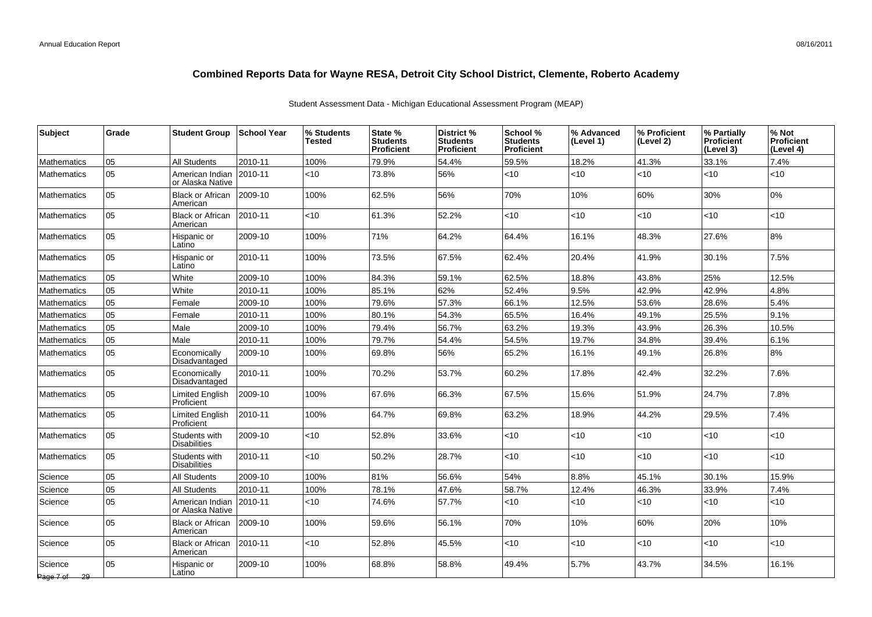| <b>Subject</b>          | Grade | <b>Student Group</b>                 | ∣School Year | % Students<br>Tested | State %<br><b>Students</b><br><b>Proficient</b> | <b>District %</b><br><b>Students</b><br><b>Proficient</b> | School %<br><b>Students</b><br><b>Proficient</b> | % Advanced<br>(Level 1) | % Proficient<br>(Level 2) | % Partially<br><b>Proficient</b><br>(Level 3) | % Not<br><b>Proficient</b><br>(Level 4) |
|-------------------------|-------|--------------------------------------|--------------|----------------------|-------------------------------------------------|-----------------------------------------------------------|--------------------------------------------------|-------------------------|---------------------------|-----------------------------------------------|-----------------------------------------|
| <b>Mathematics</b>      | 05    | <b>All Students</b>                  | 2010-11      | 100%                 | 79.9%                                           | 54.4%                                                     | 59.5%                                            | 18.2%                   | 41.3%                     | 33.1%                                         | 7.4%                                    |
| <b>Mathematics</b>      | 05    | American Indian<br>or Alaska Native  | 2010-11      | $<$ 10               | 73.8%                                           | 56%                                                       | <10                                              | <10                     | <10                       | $<$ 10                                        | $<$ 10                                  |
| <b>Mathematics</b>      | 05    | <b>Black or African</b><br>American  | 2009-10      | 100%                 | 62.5%                                           | 56%                                                       | 70%                                              | 10%                     | 60%                       | 30%                                           | 0%                                      |
| <b>Mathematics</b>      | 05    | <b>Black or African</b><br>American  | 2010-11      | $<$ 10               | 61.3%                                           | 52.2%                                                     | <10                                              | <10                     | <10                       | <10                                           | < 10                                    |
| <b>Mathematics</b>      | 05    | Hispanic or<br>Latino                | 2009-10      | 100%                 | 71%                                             | 64.2%                                                     | 64.4%                                            | 16.1%                   | 48.3%                     | 27.6%                                         | 8%                                      |
| <b>Mathematics</b>      | 05    | Hispanic or<br>Latino                | 2010-11      | 100%                 | 73.5%                                           | 67.5%                                                     | 62.4%                                            | 20.4%                   | 41.9%                     | 30.1%                                         | 7.5%                                    |
| <b>Mathematics</b>      | 05    | White                                | 2009-10      | 100%                 | 84.3%                                           | 59.1%                                                     | 62.5%                                            | 18.8%                   | 43.8%                     | 25%                                           | 12.5%                                   |
| <b>Mathematics</b>      | 05    | White                                | 2010-11      | 100%                 | 85.1%                                           | 62%                                                       | 52.4%                                            | 9.5%                    | 42.9%                     | 42.9%                                         | 4.8%                                    |
| <b>Mathematics</b>      | 05    | Female                               | 2009-10      | 100%                 | 79.6%                                           | 57.3%                                                     | 66.1%                                            | 12.5%                   | 53.6%                     | 28.6%                                         | 5.4%                                    |
| <b>Mathematics</b>      | 05    | Female                               | 2010-11      | 100%                 | 80.1%                                           | 54.3%                                                     | 65.5%                                            | 16.4%                   | 49.1%                     | 25.5%                                         | 9.1%                                    |
| <b>Mathematics</b>      | 05    | Male                                 | 2009-10      | 100%                 | 79.4%                                           | 56.7%                                                     | 63.2%                                            | 19.3%                   | 43.9%                     | 26.3%                                         | 10.5%                                   |
| <b>Mathematics</b>      | 05    | Male                                 | 2010-11      | 100%                 | 79.7%                                           | 54.4%                                                     | 54.5%                                            | 19.7%                   | 34.8%                     | 39.4%                                         | 6.1%                                    |
| <b>Mathematics</b>      | 05    | Economically<br>Disadvantaged        | 2009-10      | 100%                 | 69.8%                                           | 56%                                                       | 65.2%                                            | 16.1%                   | 49.1%                     | 26.8%                                         | 8%                                      |
| <b>Mathematics</b>      | 05    | Economically<br>Disadvantaged        | 2010-11      | 100%                 | 70.2%                                           | 53.7%                                                     | 60.2%                                            | 17.8%                   | 42.4%                     | 32.2%                                         | 7.6%                                    |
| <b>Mathematics</b>      | 05    | <b>Limited English</b><br>Proficient | 2009-10      | 100%                 | 67.6%                                           | 66.3%                                                     | 67.5%                                            | 15.6%                   | 51.9%                     | 24.7%                                         | 7.8%                                    |
| <b>Mathematics</b>      | 05    | <b>Limited English</b><br>Proficient | 2010-11      | 100%                 | 64.7%                                           | 69.8%                                                     | 63.2%                                            | 18.9%                   | 44.2%                     | 29.5%                                         | 7.4%                                    |
| <b>Mathematics</b>      | 05    | Students with<br><b>Disabilities</b> | 2009-10      | $<$ 10               | 52.8%                                           | 33.6%                                                     | < 10                                             | <10                     | <10                       | <10                                           | $<$ 10                                  |
| <b>Mathematics</b>      | 05    | Students with<br><b>Disabilities</b> | 2010-11      | $<$ 10               | 50.2%                                           | 28.7%                                                     | <10                                              | <10                     | $<$ 10                    | <10                                           | $<$ 10                                  |
| Science                 | 05    | <b>All Students</b>                  | 2009-10      | 100%                 | 81%                                             | 56.6%                                                     | 54%                                              | 8.8%                    | 45.1%                     | 30.1%                                         | 15.9%                                   |
| Science                 | 05    | All Students                         | 2010-11      | 100%                 | 78.1%                                           | 47.6%                                                     | 58.7%                                            | 12.4%                   | 46.3%                     | 33.9%                                         | 7.4%                                    |
| Science                 | 05    | American Indian<br>or Alaska Native  | $ 2010 - 11$ | $<$ 10               | 74.6%                                           | 57.7%                                                     | <10                                              | $<$ 10                  | <10                       | $<$ 10                                        | <10                                     |
| Science                 | 05    | <b>Black or African</b><br>American  | $ 2009-10$   | 100%                 | 59.6%                                           | 56.1%                                                     | 70%                                              | 10%                     | 60%                       | 20%                                           | 10%                                     |
| Science                 | 05    | <b>Black or African</b><br>American  | 2010-11      | < 10                 | 52.8%                                           | 45.5%                                                     | <10                                              | <10                     | <10                       | <10                                           | $<$ 10                                  |
| Science<br>Page 7 of 29 | 05    | Hispanic or<br>Latino                | 2009-10      | 100%                 | 68.8%                                           | 58.8%                                                     | 49.4%                                            | 5.7%                    | 43.7%                     | 34.5%                                         | 16.1%                                   |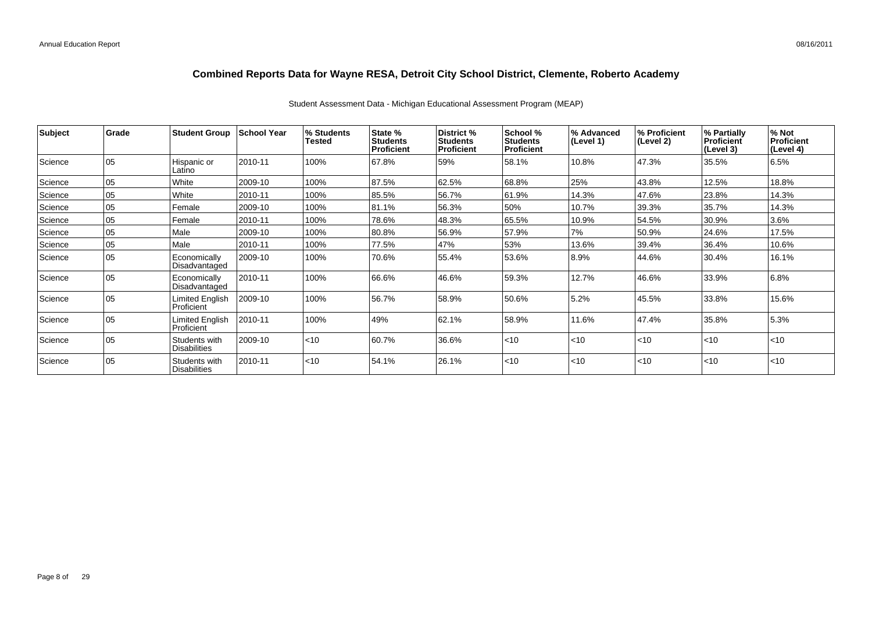Student Assessment Data - Michigan Educational Assessment Program (MEAP)

| Subject | <b>Grade</b> | <b>Student Group</b>                 | <b>School Year</b> | % Students<br>Tested | <b>State %</b><br><b>Students</b> | District %<br><b>Students</b> | School %<br><b>Students</b> | % Advanced<br>(Level 1) | % Proficient<br>(Level 2) | % Partially<br>Proficient | $%$ Not<br>Proficient |
|---------|--------------|--------------------------------------|--------------------|----------------------|-----------------------------------|-------------------------------|-----------------------------|-------------------------|---------------------------|---------------------------|-----------------------|
|         |              |                                      |                    |                      | Proficient                        | Proficient                    | <b>Proficient</b>           |                         |                           | (Level 3)                 | (Level 4)             |
| Science | 105          | Hispanic or<br>Latino                | 2010-11            | 100%                 | 67.8%                             | 59%                           | 58.1%                       | 10.8%                   | 47.3%                     | 35.5%                     | 6.5%                  |
| Science | 05           | White                                | 2009-10            | 100%                 | 87.5%                             | 62.5%                         | 68.8%                       | 25%                     | 43.8%                     | 12.5%                     | 18.8%                 |
| Science | 05           | White                                | 2010-11            | 100%                 | 85.5%                             | 56.7%                         | 61.9%                       | 14.3%                   | 47.6%                     | 23.8%                     | 14.3%                 |
| Science | 05           | Female                               | 2009-10            | 100%                 | 81.1%                             | 56.3%                         | 50%                         | 10.7%                   | 39.3%                     | 35.7%                     | 14.3%                 |
| Science | 05           | Female                               | 2010-11            | 100%                 | 78.6%                             | 48.3%                         | 65.5%                       | 10.9%                   | 54.5%                     | 30.9%                     | 3.6%                  |
| Science | 05           | Male                                 | 2009-10            | 100%                 | 80.8%                             | 56.9%                         | 57.9%                       | 7%                      | 50.9%                     | 24.6%                     | 17.5%                 |
| Science | 05           | Male                                 | 2010-11            | 100%                 | 77.5%                             | 47%                           | 53%                         | 13.6%                   | 39.4%                     | 36.4%                     | 10.6%                 |
| Science | 05           | Economically<br>Disadvantaged        | 2009-10            | 100%                 | 70.6%                             | 55.4%                         | 53.6%                       | 8.9%                    | 44.6%                     | 30.4%                     | 16.1%                 |
| Science | 05           | Economically<br>Disadvantaged        | 2010-11            | 100%                 | 66.6%                             | 46.6%                         | 59.3%                       | 12.7%                   | 46.6%                     | 33.9%                     | 6.8%                  |
| Science | 05           | <b>Limited English</b><br>Proficient | 2009-10            | 100%                 | 56.7%                             | 58.9%                         | 50.6%                       | 5.2%                    | 45.5%                     | 33.8%                     | 15.6%                 |
| Science | 05           | <b>Limited English</b><br>Proficient | 2010-11            | 100%                 | 49%                               | 62.1%                         | 58.9%                       | 11.6%                   | 47.4%                     | 35.8%                     | 5.3%                  |
| Science | 05           | Students with<br><b>Disabilities</b> | 2009-10            | $ $ < 10             | 60.7%                             | 36.6%                         | < 10                        | < 10                    | < 10                      | $\leq 10$                 | $<$ 10                |
| Science | 05           | Students with<br>Disabilities        | 2010-11            | $ $ < 10             | 54.1%                             | 26.1%                         | $<$ 10                      | < 10                    | $ $ < 10                  | $\leq 10$                 | $<$ 10                |

Page 8 of 29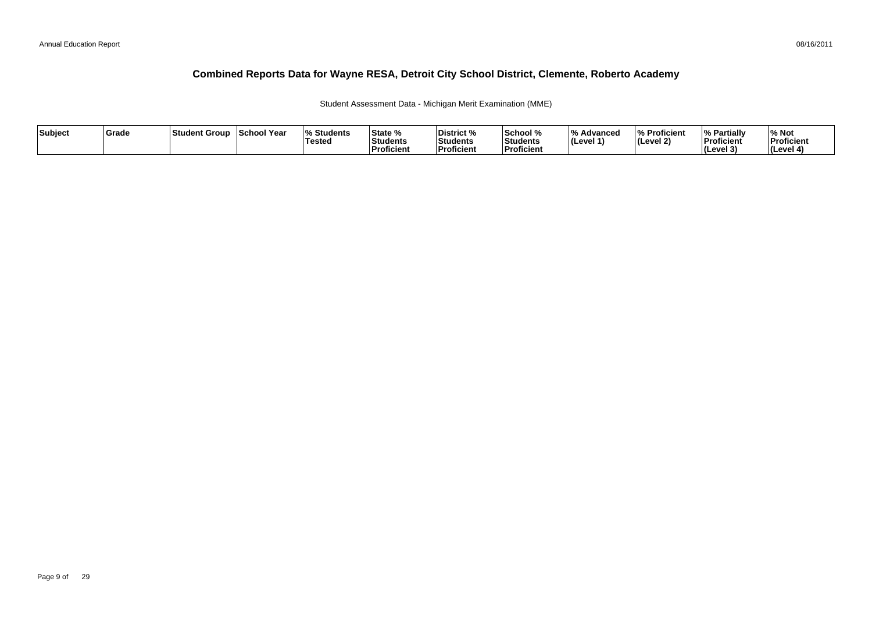#### 08/16/2011

### **Combined Reports Data for Wayne RESA, Detroit City School District, Clemente, Roberto Academy**

Student Assessment Data - Michigan Merit Examination (MME)

| Subject | <b>Grade</b> | Student Group | School Year | <b>Students</b> l%<br><b>Tested</b> | State %<br>Students<br><b>Proficient</b> | District %<br>Students<br><b>Proficient</b> | School %<br>'Students<br><b>Proficien</b> | ΙО.<br>Advanced<br>∣(Level 1 | % Proficient<br>l (Level 2) | Partiallv ،<br>Proficient<br>(Level 3) | % Not<br>Proficient<br>l (Level |
|---------|--------------|---------------|-------------|-------------------------------------|------------------------------------------|---------------------------------------------|-------------------------------------------|------------------------------|-----------------------------|----------------------------------------|---------------------------------|
|---------|--------------|---------------|-------------|-------------------------------------|------------------------------------------|---------------------------------------------|-------------------------------------------|------------------------------|-----------------------------|----------------------------------------|---------------------------------|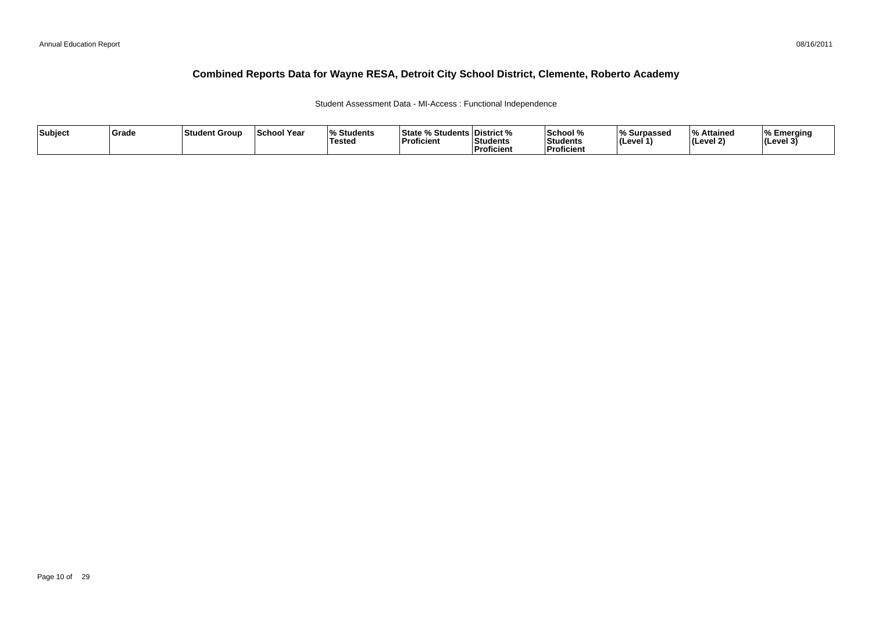#### Student Assessment Data - MI-Access : Functional Independence

| Subject | Grade | ∣Student Group | <b>School Year</b> | <sup>1</sup> % Students<br>Testea | % Students District %<br><b>State %</b><br>Proficient | Students<br>Proficient | School %<br>Students<br>l Proficien | ∣% Surpassed<br>(Level 1' | l 0/<br>Attained<br>(Level 2) | Emerging<br>$ $ (Level 3 <sup>'</sup> |
|---------|-------|----------------|--------------------|-----------------------------------|-------------------------------------------------------|------------------------|-------------------------------------|---------------------------|-------------------------------|---------------------------------------|
|---------|-------|----------------|--------------------|-----------------------------------|-------------------------------------------------------|------------------------|-------------------------------------|---------------------------|-------------------------------|---------------------------------------|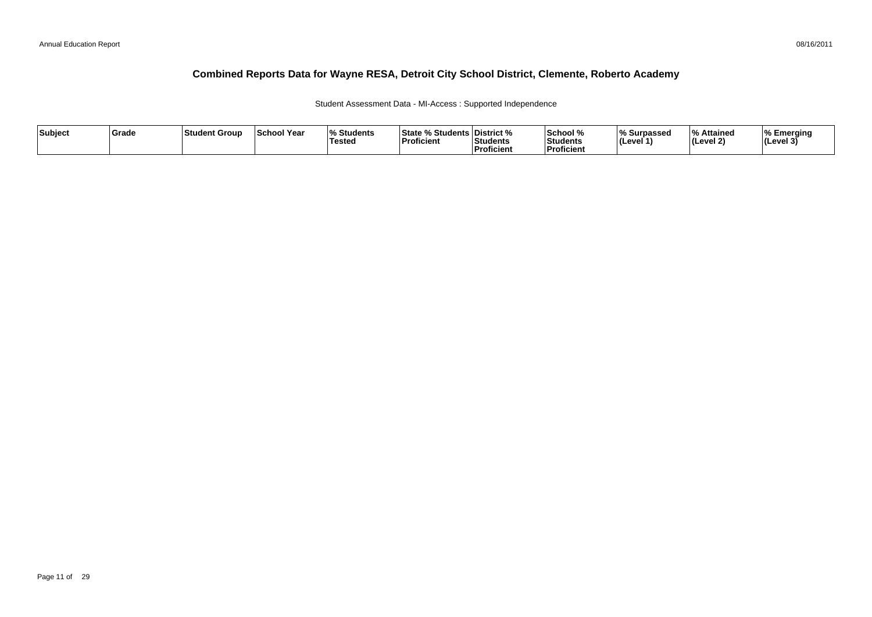#### Student Assessment Data - MI-Access : Supported Independence

| Subject | Grade | ∣Student Group | <b>School Year</b> | <sup>1</sup> % Students<br>Testea | % Students District %<br><b>State %</b><br>Proficient | Students<br>Proficient | School %<br>Students<br>l Proficien | ∣% Surpassed<br>(Level 1' | l 0/<br>Attained<br>(Level 2) | Emerging<br>$ $ (Level 3 <sup>'</sup> |
|---------|-------|----------------|--------------------|-----------------------------------|-------------------------------------------------------|------------------------|-------------------------------------|---------------------------|-------------------------------|---------------------------------------|
|---------|-------|----------------|--------------------|-----------------------------------|-------------------------------------------------------|------------------------|-------------------------------------|---------------------------|-------------------------------|---------------------------------------|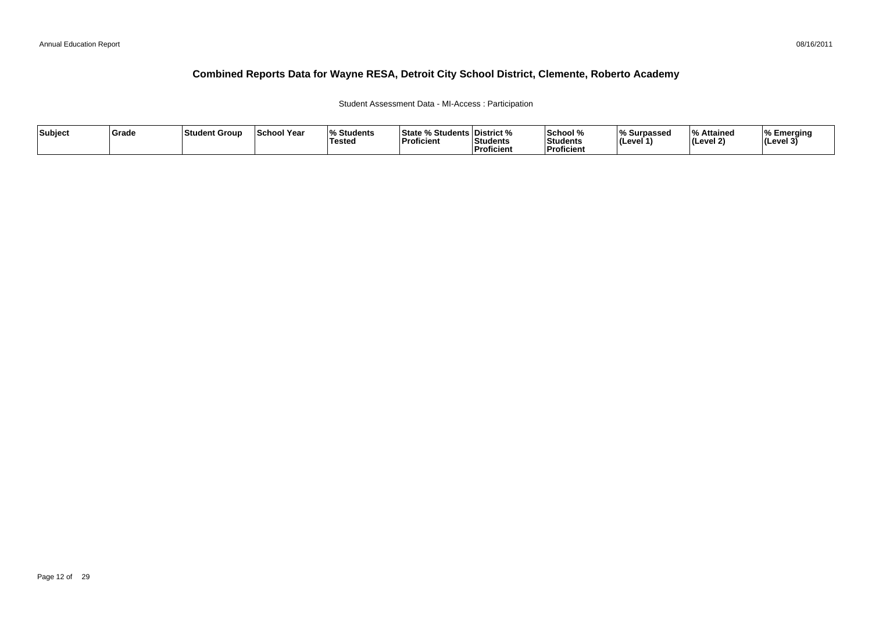#### Student Assessment Data - MI-Access : Participation

| Subject | Grade | 'Student Group | <b>School Year</b> | <b>Students</b><br>Testea | <sup>o</sup> ∕ Students ∟<br>l State º<br><b>Proficient</b> | District %<br>Students<br>Proficient | School %<br>Students<br>l Proficien | % Surpassed<br>(Level 1) | /ه ا<br>Attained<br>' <i>(</i> Level 2) | Emerging<br> (Level 3 |
|---------|-------|----------------|--------------------|---------------------------|-------------------------------------------------------------|--------------------------------------|-------------------------------------|--------------------------|-----------------------------------------|-----------------------|
|---------|-------|----------------|--------------------|---------------------------|-------------------------------------------------------------|--------------------------------------|-------------------------------------|--------------------------|-----------------------------------------|-----------------------|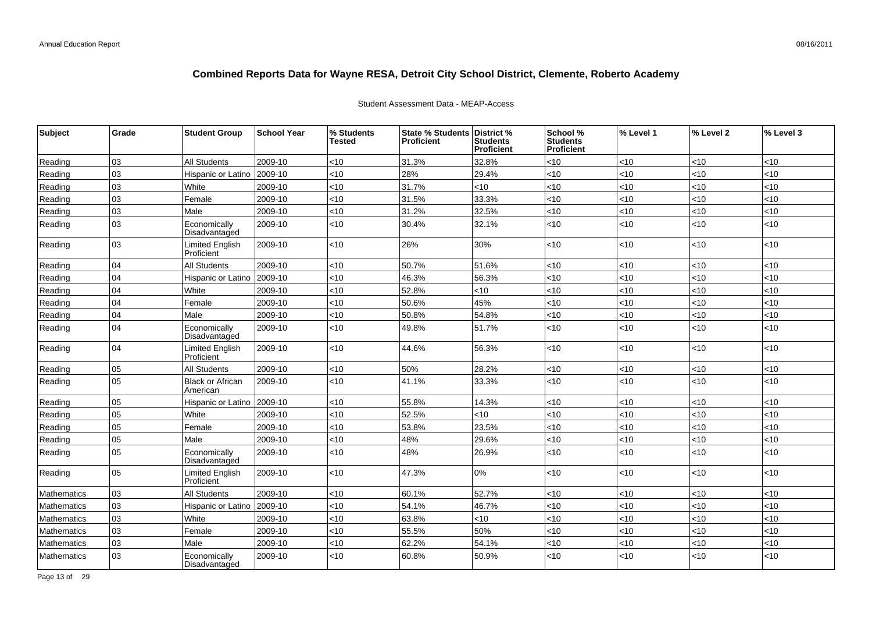| Subject            | Grade | <b>Student Group</b>                 | <b>School Year</b> | % Students<br><b>Tested</b> | State % Students   District %<br><b>Proficient</b> | <b>Students</b><br><b>Proficient</b> | School %<br><b>Students</b><br>Proficient | % Level 1 | % Level 2 | % Level 3 |
|--------------------|-------|--------------------------------------|--------------------|-----------------------------|----------------------------------------------------|--------------------------------------|-------------------------------------------|-----------|-----------|-----------|
| Reading            | 03    | <b>All Students</b>                  | 2009-10            | < 10                        | 31.3%                                              | 32.8%                                | <10                                       | <10       | $<$ 10    | <10       |
| Reading            | 03    | Hispanic or Latino                   | 2009-10            | <10                         | 28%                                                | 29.4%                                | <10                                       | <10       | <10       | <10       |
| Reading            | 03    | White                                | 2009-10            | <10                         | 31.7%                                              | <10                                  | <10                                       | <10       | $<$ 10    | < 10      |
| Reading            | 03    | Female                               | 2009-10            | <10                         | 31.5%                                              | 33.3%                                | <10                                       | <10       | <10       | <10       |
| Reading            | 03    | Male                                 | 2009-10            | <10                         | 31.2%                                              | 32.5%                                | <10                                       | <10       | $<10$     | <10       |
| Reading            | 03    | Economically<br>Disadvantaged        | 2009-10            | <10                         | 30.4%                                              | 32.1%                                | <10                                       | <10       | <10       | <10       |
| Reading            | 03    | <b>Limited English</b><br>Proficient | 2009-10            | <10                         | 26%                                                | 30%                                  | <10                                       | <10       | <10       | <10       |
| Reading            | 04    | <b>All Students</b>                  | 2009-10            | < 10                        | 50.7%                                              | 51.6%                                | <10                                       | < 10      | <10       | <10       |
| Reading            | 04    | Hispanic or Latino                   | 2009-10            | <10                         | 46.3%                                              | 56.3%                                | <10                                       | <10       | <10       | <10       |
| Reading            | 04    | White                                | 2009-10            | <10                         | 52.8%                                              | <10                                  | <10                                       | <10       | $<$ 10    | <10       |
| Reading            | 04    | Female                               | 2009-10            | <10                         | 50.6%                                              | 45%                                  | <10                                       | < 10      | $<$ 10    | <10       |
| Reading            | 04    | Male                                 | 2009-10            | <10                         | 50.8%                                              | 54.8%                                | <10                                       | <10       | <10       | <10       |
| Reading            | 04    | Economically<br>Disadvantaged        | 2009-10            | <10                         | 49.8%                                              | 51.7%                                | <10                                       | < 10      | <10       | <10       |
| Reading            | 04    | <b>Limited English</b><br>Proficient | 2009-10            | $<10$                       | 44.6%                                              | 56.3%                                | <10                                       | $<$ 10    | <10       | < 10      |
| Reading            | 05    | <b>All Students</b>                  | 2009-10            | < 10                        | 50%                                                | 28.2%                                | <10                                       | < 10      | $<$ 10    | <10       |
| Reading            | 05    | <b>Black or African</b><br>American  | 2009-10            | <10                         | 41.1%                                              | 33.3%                                | <10                                       | <10       | $<$ 10    | <10       |
| Reading            | 05    | Hispanic or Latino                   | 2009-10            | <10                         | 55.8%                                              | 14.3%                                | $<$ 10                                    | <10       | <10       | <10       |
| Reading            | 05    | White                                | 2009-10            | <10                         | 52.5%                                              | <10                                  | <10                                       | <10       | < 10      | <10       |
| Reading            | 05    | Female                               | 2009-10            | <10                         | 53.8%                                              | 23.5%                                | <10                                       | <10       | <10       | <10       |
| Reading            | 05    | Male                                 | 2009-10            | <10                         | 48%                                                | 29.6%                                | $<$ 10                                    | <10       | <10       | <10       |
| Reading            | 05    | Economically<br>Disadvantaged        | 2009-10            | < 10                        | 48%                                                | 26.9%                                | <10                                       | <10       | <10       | <10       |
| Reading            | 05    | <b>Limited English</b><br>Proficient | 2009-10            | <10                         | 47.3%                                              | $0\%$                                | <10                                       | <10       | <10       | <10       |
| Mathematics        | 03    | <b>All Students</b>                  | 2009-10            | < 10                        | 60.1%                                              | 52.7%                                | <10                                       | <10       | $<$ 10    | <10       |
| <b>Mathematics</b> | 03    | Hispanic or Latino                   | 2009-10            | < 10                        | 54.1%                                              | 46.7%                                | <10                                       | < 10      | $<$ 10    | <10       |
| <b>Mathematics</b> | 03    | White                                | 2009-10            | <10                         | 63.8%                                              | <10                                  | <10                                       | < 10      | $<$ 10    | <10       |
| Mathematics        | 03    | Female                               | 2009-10            | <10                         | 55.5%                                              | 50%                                  | <10                                       | < 10      | <10       | $<$ 10    |
| <b>Mathematics</b> | 03    | Male                                 | 2009-10            | <10                         | 62.2%                                              | 54.1%                                | <10                                       | < 10      | <10       | <10       |
| Mathematics        | 03    | Economically<br>Disadvantaged        | 2009-10            | <10                         | 60.8%                                              | 50.9%                                | <10                                       | <10       | <10       | <10       |

#### Student Assessment Data - MEAP-Access

Page 13 of 29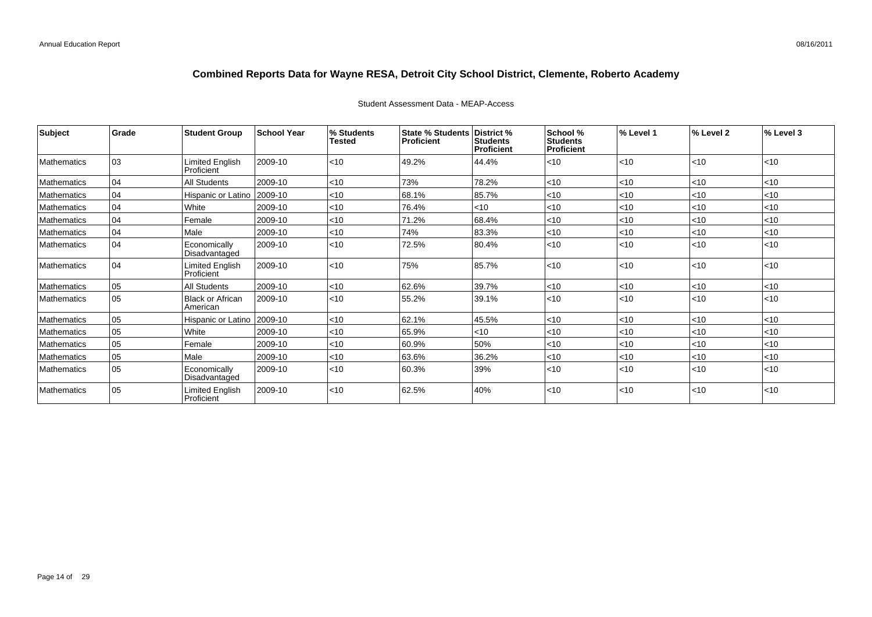| Subject            | Grade        | <b>Student Group</b>                 | <b>School Year</b> | % Students<br><b>Tested</b> | <b>State % Students</b><br><b>Proficient</b> | District %<br><b>Students</b><br><b>Proficient</b> | School %<br><b>Students</b><br><b>Proficient</b> | % Level 1 | % Level 2 | % Level 3 |
|--------------------|--------------|--------------------------------------|--------------------|-----------------------------|----------------------------------------------|----------------------------------------------------|--------------------------------------------------|-----------|-----------|-----------|
| Mathematics        | 03           | Limited English<br>Proficient        | 2009-10            | $<$ 10                      | 49.2%                                        | 44.4%                                              | $<$ 10                                           | $<$ 10    | < 10      | < 10      |
| Mathematics        | 04           | <b>All Students</b>                  | 2009-10            | $<$ 10                      | 73%                                          | 78.2%                                              | < 10                                             | < 10      | $ $ < 10  | <10       |
| Mathematics        | 04           | Hispanic or Latino                   | 2009-10            | $<$ 10                      | 68.1%                                        | 85.7%                                              | $<$ 10                                           | $<$ 10    | $ $ < 10  | < 10      |
| Mathematics        | 04           | White                                | 2009-10            | < 10                        | 76.4%                                        | < 10                                               | $<$ 10                                           | $<$ 10    | $ $ < 10  | <10       |
| Mathematics        | 04           | Female                               | 2009-10            | < 10                        | 71.2%                                        | 68.4%                                              | < 10                                             | $<$ 10    | $ $ < 10  | <10       |
| Mathematics        | 04           | Male                                 | 2009-10            | < 10                        | 74%                                          | 83.3%                                              | $<$ 10                                           | $<$ 10    | $ $ < 10  | < 10      |
| Mathematics        | 04           | Economically<br>Disadvantaged        | 2009-10            | < 10                        | 72.5%                                        | 80.4%                                              | < 10                                             | $<$ 10    | < 10      | < 10      |
| Mathematics        | 04           | <b>Limited English</b><br>Proficient | 2009-10            | $<$ 10                      | 75%                                          | 85.7%                                              | <10                                              | < 10      | $ $ < 10  | < 10      |
| Mathematics        | 05           | <b>All Students</b>                  | 2009-10            | < 10                        | 62.6%                                        | 39.7%                                              | < 10                                             | $<$ 10    | <10       | <10       |
| Mathematics        | l 05         | Black or African<br>American         | 2009-10            | < 10                        | 55.2%                                        | 39.1%                                              | < 10                                             | < 10      | < 10      | < 10      |
| Mathematics        | 05           | Hispanic or Latino 2009-10           |                    | < 10                        | 62.1%                                        | 45.5%                                              | $<$ 10                                           | $<$ 10    | $ $ < 10  | <10       |
| Mathematics        | 05           | White                                | 2009-10            | $<$ 10                      | 65.9%                                        | $<$ 10                                             | < 10                                             | $<$ 10    | $ $ < 10  | <10       |
| Mathematics        | 05           | Female                               | 2009-10            | $<$ 10                      | 60.9%                                        | 50%                                                | $<$ 10                                           | $<$ 10    | $ $ < 10  | < 10      |
| Mathematics        | 05           | Male                                 | 2009-10            | < 10                        | 63.6%                                        | 36.2%                                              | < 10                                             | $<$ 10    | $ $ < 10  | <10       |
| Mathematics        | $ 05\rangle$ | Economically<br>Disadvantaged        | 2009-10            | < 10                        | 60.3%                                        | 39%                                                | $<$ 10                                           | < 10      | $ $ < 10  | < 10      |
| <b>Mathematics</b> | 05           | Limited English<br>Proficient        | 2009-10            | < 10                        | 62.5%                                        | 40%                                                | < 10                                             | $<$ 10    | $ $ < 10  | < 10      |

#### Student Assessment Data - MEAP-Access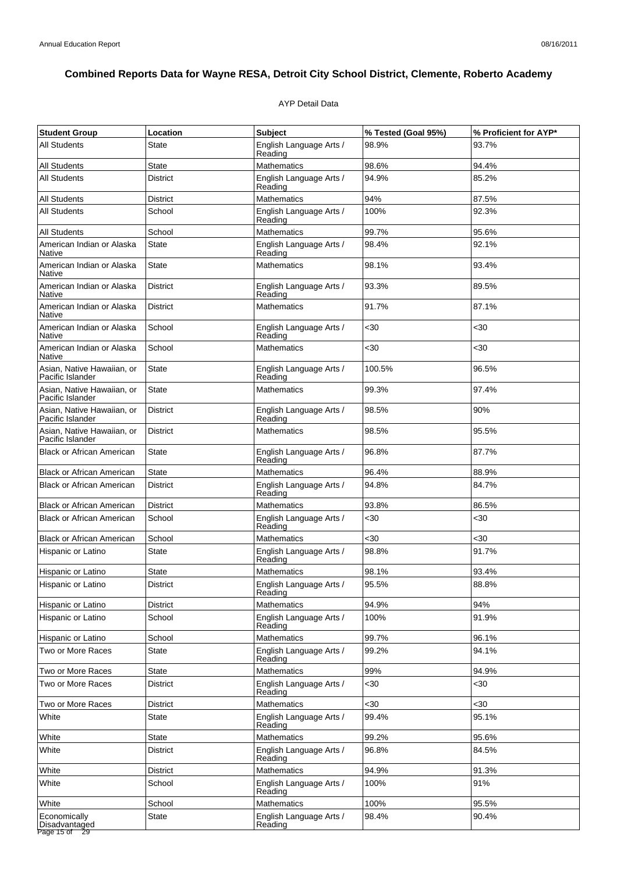#### AYP Detail Data

| <b>Student Group</b>                                        | Location        | <b>Subject</b>                     | % Tested (Goal 95%) | % Proficient for AYP* |
|-------------------------------------------------------------|-----------------|------------------------------------|---------------------|-----------------------|
| <b>All Students</b>                                         | State           | English Language Arts /<br>Reading | 98.9%               | 93.7%                 |
| <b>All Students</b>                                         | <b>State</b>    | <b>Mathematics</b>                 | 98.6%               | 94.4%                 |
| All Students                                                | <b>District</b> | English Language Arts /<br>Reading | 94.9%               | 85.2%                 |
| All Students                                                | District        | <b>Mathematics</b>                 | 94%                 | 87.5%                 |
| All Students                                                | School          | English Language Arts /<br>Reading | 100%                | 92.3%                 |
| <b>All Students</b>                                         | School          | Mathematics                        | 99.7%               | 95.6%                 |
| American Indian or Alaska<br>Native                         | State           | English Language Arts /<br>Reading | 98.4%               | 92.1%                 |
| American Indian or Alaska<br>Native                         | <b>State</b>    | <b>Mathematics</b>                 | 98.1%               | 93.4%                 |
| American Indian or Alaska<br>Native                         | <b>District</b> | English Language Arts /<br>Reading | 93.3%               | 89.5%                 |
| American Indian or Alaska<br>Native                         | <b>District</b> | Mathematics                        | 91.7%               | 87.1%                 |
| American Indian or Alaska<br>Native                         | School          | English Language Arts /<br>Reading | $30$                | $30$                  |
| American Indian or Alaska<br>Native                         | School          | <b>Mathematics</b>                 | $30$                | <30                   |
| Asian, Native Hawaiian, or<br>Pacific Islander              | State           | English Language Arts /<br>Reading | 100.5%              | 96.5%                 |
| Asian. Native Hawaiian. or<br>Pacific Islander              | <b>State</b>    | <b>Mathematics</b>                 | 99.3%               | 97.4%                 |
| Asian, Native Hawaiian, or<br>Pacific Islander              | <b>District</b> | English Language Arts /<br>Reading | 98.5%               | 90%                   |
| Asian, Native Hawaiian, or<br>Pacific Islander              | <b>District</b> | <b>Mathematics</b>                 | 98.5%               | 95.5%                 |
| <b>Black or African American</b>                            | State           | English Language Arts /<br>Reading | 96.8%               | 87.7%                 |
| <b>Black or African American</b>                            | State           | <b>Mathematics</b>                 | 96.4%               | 88.9%                 |
| <b>Black or African American</b>                            | <b>District</b> | English Language Arts /<br>Reading | 94.8%               | 84.7%                 |
| <b>Black or African American</b>                            | <b>District</b> | <b>Mathematics</b>                 | 93.8%               | 86.5%                 |
| <b>Black or African American</b>                            | School          | English Language Arts /<br>Reading | $30$                | $30$                  |
| <b>Black or African American</b>                            | School          | Mathematics                        | $30$                | $30$                  |
| Hispanic or Latino                                          | <b>State</b>    | English Language Arts /<br>Reading | 98.8%               | 91.7%                 |
| Hispanic or Latino                                          | State           | <b>Mathematics</b>                 | 98.1%               | 93.4%                 |
| Hispanic or Latino                                          | <b>District</b> | English Language Arts /<br>Reading | 95.5%               | 88.8%                 |
| Hispanic or Latino                                          | <b>District</b> | Mathematics                        | 94.9%               | 94%                   |
| Hispanic or Latino                                          | School          | English Language Arts /<br>Reading | 100%                | 91.9%                 |
| Hispanic or Latino                                          | School          | <b>Mathematics</b>                 | 99.7%               | 96.1%                 |
| Two or More Races                                           | <b>State</b>    | English Language Arts /<br>Reading | 99.2%               | 94.1%                 |
| Two or More Races                                           | State           | <b>Mathematics</b>                 | 99%                 | 94.9%                 |
| Two or More Races                                           | District        | English Language Arts /<br>Reading | $30$                | <30                   |
| Two or More Races                                           | <b>District</b> | Mathematics                        | <30                 | <30                   |
| White                                                       | <b>State</b>    | English Language Arts /<br>Reading | 99.4%               | 95.1%                 |
| White                                                       | State           | <b>Mathematics</b>                 | 99.2%               | 95.6%                 |
| White                                                       | District        | English Language Arts /<br>Reading | 96.8%               | 84.5%                 |
| White                                                       | <b>District</b> | <b>Mathematics</b>                 | 94.9%               | 91.3%                 |
| White                                                       | School          | English Language Arts /<br>Reading | 100%                | 91%                   |
| White                                                       | School          | <b>Mathematics</b>                 | 100%                | 95.5%                 |
| Economically<br>Disadvantaged<br>Page 15 of $\overline{29}$ | <b>State</b>    | English Language Arts /<br>Reading | 98.4%               | 90.4%                 |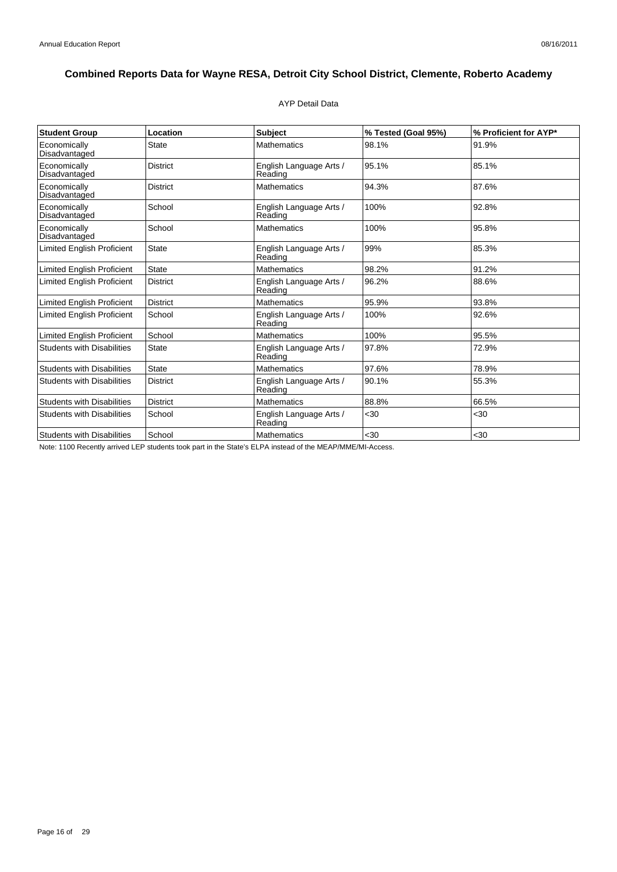#### AYP Detail Data

| <b>Student Group</b>              | Location        | Subject                            | % Tested (Goal 95%) | % Proficient for AYP* |
|-----------------------------------|-----------------|------------------------------------|---------------------|-----------------------|
| Economically<br>Disadvantaged     | <b>State</b>    | <b>Mathematics</b>                 | 98.1%               | 91.9%                 |
| Economically<br>Disadvantaged     | <b>District</b> | English Language Arts /<br>Reading | 95.1%               | 85.1%                 |
| Economically<br>Disadvantaged     | <b>District</b> | <b>Mathematics</b>                 | 94.3%               | 87.6%                 |
| Economically<br>Disadvantaged     | School          | English Language Arts /<br>Reading | 100%                | 92.8%                 |
| Economically<br>Disadvantaged     | School          | <b>Mathematics</b>                 | 100%                | 95.8%                 |
| <b>Limited English Proficient</b> | <b>State</b>    | English Language Arts /<br>Reading | 99%                 | 85.3%                 |
| <b>Limited English Proficient</b> | <b>State</b>    | <b>Mathematics</b>                 | 98.2%               | 91.2%                 |
| <b>Limited English Proficient</b> | <b>District</b> | English Language Arts /<br>Reading | 96.2%               | 88.6%                 |
| <b>Limited English Proficient</b> | <b>District</b> | <b>Mathematics</b>                 | 95.9%               | 93.8%                 |
| <b>Limited English Proficient</b> | School          | English Language Arts /<br>Reading | 100%                | 92.6%                 |
| <b>Limited English Proficient</b> | School          | <b>Mathematics</b>                 | 100%                | 95.5%                 |
| <b>Students with Disabilities</b> | <b>State</b>    | English Language Arts /<br>Reading | 97.8%               | 72.9%                 |
| <b>Students with Disabilities</b> | <b>State</b>    | <b>Mathematics</b>                 | 97.6%               | 78.9%                 |
| <b>Students with Disabilities</b> | <b>District</b> | English Language Arts /<br>Reading | 90.1%               | 55.3%                 |
| <b>Students with Disabilities</b> | <b>District</b> | <b>Mathematics</b>                 | 88.8%               | 66.5%                 |
| <b>Students with Disabilities</b> | School          | English Language Arts /<br>Reading | $30$                | $30$                  |
| <b>Students with Disabilities</b> | School          | <b>Mathematics</b>                 | <30                 | $30$                  |

Note: 1100 Recently arrived LEP students took part in the State's ELPA instead of the MEAP/MME/MI-Access.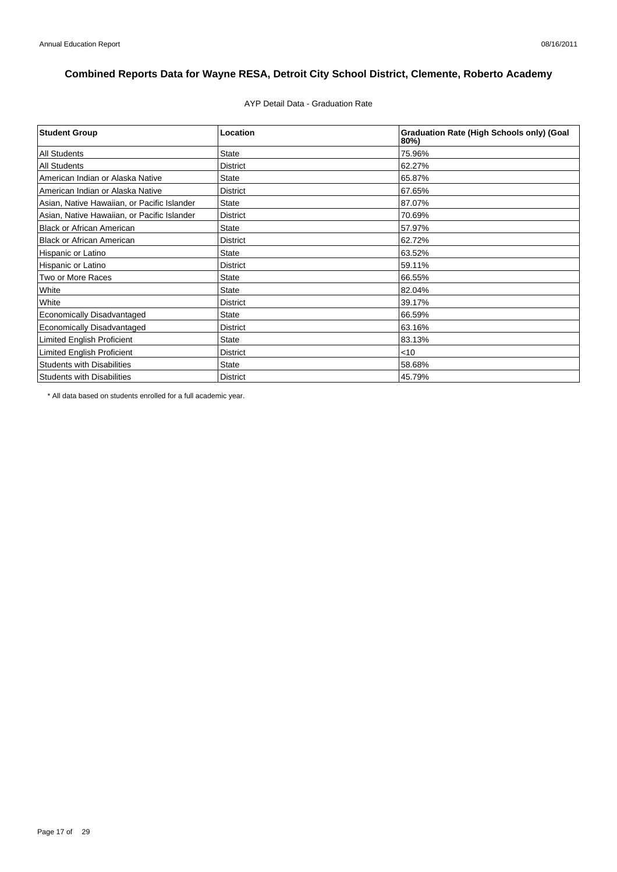AYP Detail Data - Graduation Rate

| <b>Student Group</b>                        | Location        | <b>Graduation Rate (High Schools only) (Goal</b><br>80%) |
|---------------------------------------------|-----------------|----------------------------------------------------------|
| <b>All Students</b>                         | <b>State</b>    | 75.96%                                                   |
| <b>All Students</b>                         | <b>District</b> | 62.27%                                                   |
| American Indian or Alaska Native            | <b>State</b>    | 65.87%                                                   |
| American Indian or Alaska Native            | <b>District</b> | 67.65%                                                   |
| Asian, Native Hawaiian, or Pacific Islander | <b>State</b>    | 87.07%                                                   |
| Asian, Native Hawaiian, or Pacific Islander | <b>District</b> | 70.69%                                                   |
| <b>Black or African American</b>            | <b>State</b>    | 57.97%                                                   |
| <b>Black or African American</b>            | <b>District</b> | 62.72%                                                   |
| Hispanic or Latino                          | <b>State</b>    | 63.52%                                                   |
| Hispanic or Latino                          | <b>District</b> | 59.11%                                                   |
| Two or More Races                           | <b>State</b>    | 66.55%                                                   |
| White                                       | <b>State</b>    | 82.04%                                                   |
| White                                       | <b>District</b> | 39.17%                                                   |
| <b>Economically Disadvantaged</b>           | <b>State</b>    | 66.59%                                                   |
| <b>Economically Disadvantaged</b>           | <b>District</b> | 63.16%                                                   |
| <b>Limited English Proficient</b>           | <b>State</b>    | 83.13%                                                   |
| <b>Limited English Proficient</b>           | <b>District</b> | $<$ 10                                                   |
| <b>Students with Disabilities</b>           | <b>State</b>    | 58.68%                                                   |
| <b>Students with Disabilities</b>           | <b>District</b> | 45.79%                                                   |

\* All data based on students enrolled for a full academic year.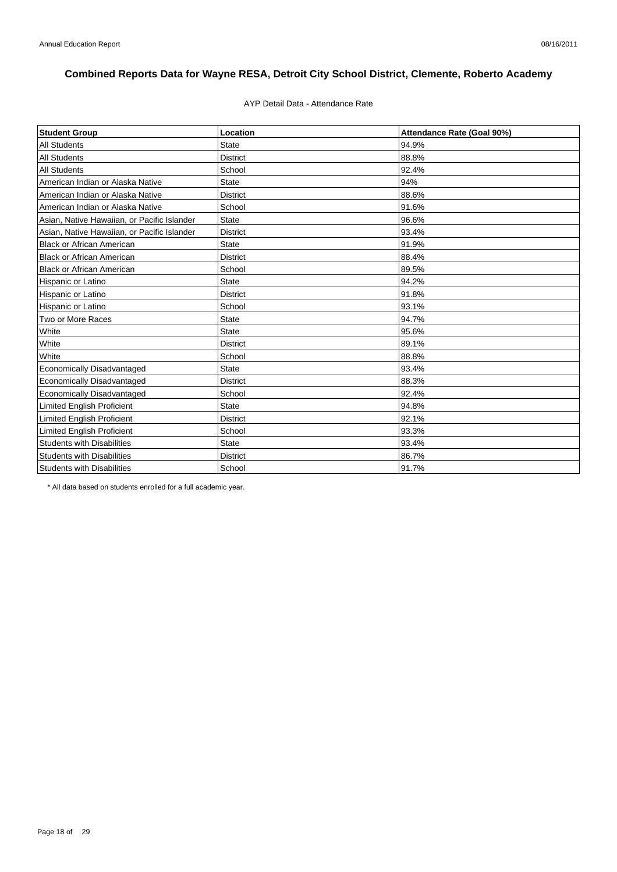#### AYP Detail Data - Attendance Rate

| <b>Student Group</b>                        | Location        | Attendance Rate (Goal 90%) |
|---------------------------------------------|-----------------|----------------------------|
| <b>All Students</b>                         | State           | 94.9%                      |
| <b>All Students</b>                         | <b>District</b> | 88.8%                      |
| <b>All Students</b>                         | School          | 92.4%                      |
| American Indian or Alaska Native            | <b>State</b>    | 94%                        |
| American Indian or Alaska Native            | <b>District</b> | 88.6%                      |
| American Indian or Alaska Native            | School          | 91.6%                      |
| Asian, Native Hawaiian, or Pacific Islander | <b>State</b>    | 96.6%                      |
| Asian, Native Hawaiian, or Pacific Islander | <b>District</b> | 93.4%                      |
| <b>Black or African American</b>            | <b>State</b>    | 91.9%                      |
| <b>Black or African American</b>            | <b>District</b> | 88.4%                      |
| <b>Black or African American</b>            | School          | 89.5%                      |
| Hispanic or Latino                          | <b>State</b>    | 94.2%                      |
| Hispanic or Latino                          | <b>District</b> | 91.8%                      |
| Hispanic or Latino                          | School          | 93.1%                      |
| Two or More Races                           | <b>State</b>    | 94.7%                      |
| White                                       | <b>State</b>    | 95.6%                      |
| White                                       | <b>District</b> | 89.1%                      |
| White                                       | School          | 88.8%                      |
| Economically Disadvantaged                  | <b>State</b>    | 93.4%                      |
| <b>Economically Disadvantaged</b>           | <b>District</b> | 88.3%                      |
| Economically Disadvantaged                  | School          | 92.4%                      |
| Limited English Proficient                  | <b>State</b>    | 94.8%                      |
| Limited English Proficient                  | <b>District</b> | 92.1%                      |
| <b>Limited English Proficient</b>           | School          | 93.3%                      |
| <b>Students with Disabilities</b>           | <b>State</b>    | 93.4%                      |
| <b>Students with Disabilities</b>           | <b>District</b> | 86.7%                      |
| <b>Students with Disabilities</b>           | School          | 91.7%                      |

\* All data based on students enrolled for a full academic year.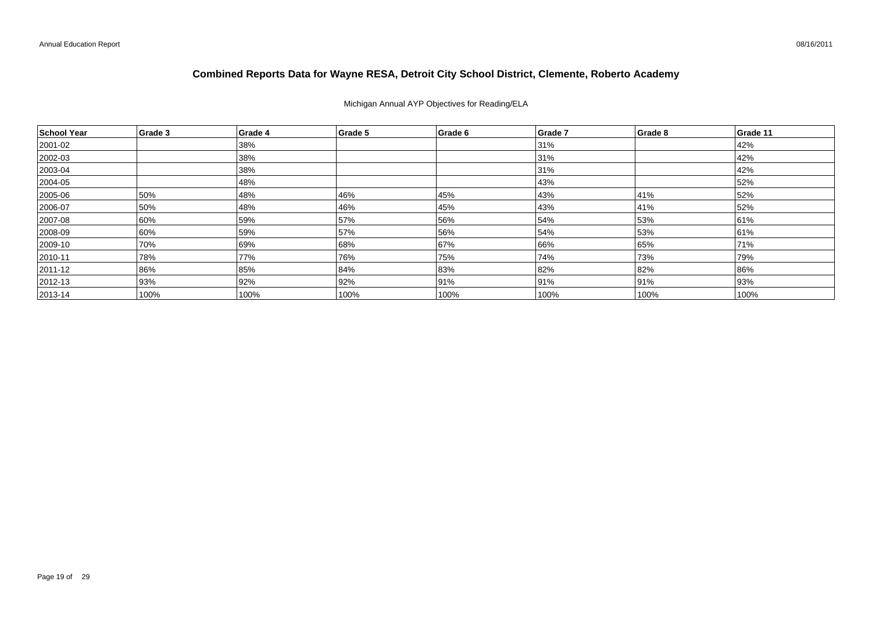#### Michigan Annual AYP Objectives for Reading/ELA

| School Year  | Grade 3 | Grade 4 | Grade 5 | Grade 6 | Grade 7 | Grade 8 | Grade 11 |
|--------------|---------|---------|---------|---------|---------|---------|----------|
| 2001-02      |         | 38%     |         |         | 31%     |         | 42%      |
| 2002-03      |         | 38%     |         |         | 31%     |         | 42%      |
| $ 2003 - 04$ |         | 38%     |         |         | 31%     |         | 42%      |
| 2004-05      |         | 48%     |         |         | 43%     |         | 52%      |
| 2005-06      | 50%     | 48%     | 46%     | 45%     | 43%     | 41%     | 52%      |
| 2006-07      | 50%     | 48%     | 46%     | 45%     | 43%     | 41%     | 52%      |
| 2007-08      | 60%     | 59%     | 57%     | 56%     | 54%     | 53%     | 61%      |
| 2008-09      | 60%     | 59%     | 57%     | 56%     | 54%     | 53%     | 61%      |
| 2009-10      | 70%     | 69%     | 68%     | 67%     | 66%     | 65%     | 71%      |
| $ 2010 - 11$ | 78%     | 77%     | 76%     | 75%     | 74%     | 73%     | 79%      |
| 2011-12      | 86%     | 85%     | 84%     | 83%     | 82%     | 82%     | 86%      |
| 2012-13      | 93%     | 92%     | 92%     | 91%     | 91%     | 91%     | 93%      |
| $ 2013 - 14$ | 100%    | 100%    | 100%    | 100%    | 100%    | 100%    | 100%     |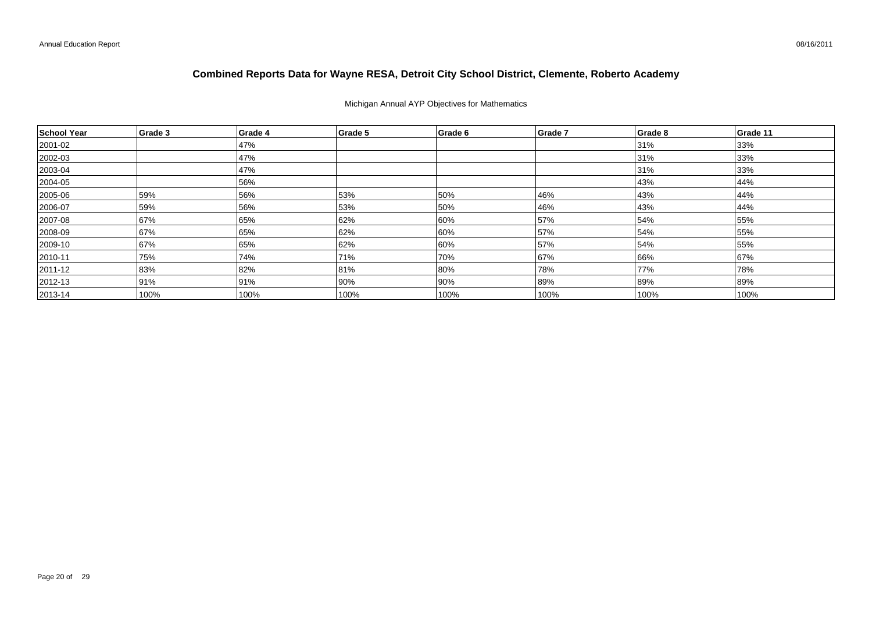#### Michigan Annual AYP Objectives for Mathematics

| School Year  | Grade 3 | Grade 4 | Grade 5 | Grade 6 | Grade 7 | Grade 8 | Grade 11 |
|--------------|---------|---------|---------|---------|---------|---------|----------|
| 2001-02      |         | 47%     |         |         |         | 31%     | 33%      |
| 2002-03      |         | 47%     |         |         |         | 31%     | 33%      |
| $ 2003 - 04$ |         | 47%     |         |         |         | 31%     | 33%      |
| 2004-05      |         | 56%     |         |         |         | 43%     | 44%      |
| 2005-06      | 59%     | 56%     | 53%     | 50%     | 46%     | 43%     | 44%      |
| 2006-07      | 59%     | 56%     | 53%     | 50%     | 46%     | 43%     | 44%      |
| 2007-08      | 67%     | 65%     | 62%     | 60%     | 57%     | 54%     | 55%      |
| 2008-09      | 67%     | 65%     | 62%     | 60%     | 57%     | 54%     | 55%      |
| 2009-10      | 67%     | 65%     | 62%     | 60%     | 57%     | 54%     | 55%      |
| $ 2010 - 11$ | 75%     | 74%     | 71%     | 70%     | 67%     | 66%     | 67%      |
| 2011-12      | 83%     | 82%     | 81%     | 80%     | 78%     | 77%     | 78%      |
| $ 2012 - 13$ | 91%     | 91%     | 90%     | 90%     | 89%     | 89%     | 89%      |
| $ 2013 - 14$ | 100%    | 100%    | 100%    | 100%    | 100%    | 100%    | 100%     |

08/16/2011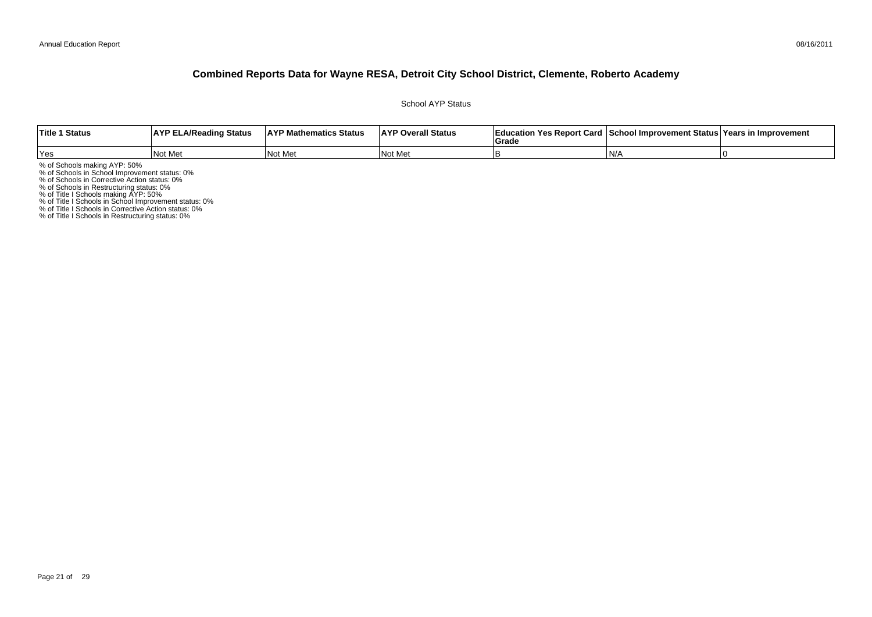School AYP Status

| <b>Title 1 Status</b> | <b>AYP ELA/Reading Status</b> | <b>AYP Mathematics Status</b> | <b>AYP Overall Status</b> | Education Yes Report Card   School Improvement Status   Years in Improvement<br>Grad |     |  |
|-----------------------|-------------------------------|-------------------------------|---------------------------|--------------------------------------------------------------------------------------|-----|--|
| Yes                   | Not Met                       | Not Me                        | <b>Not</b><br>: Me        |                                                                                      | IN/ |  |

% of Schools making AYP: 50%<br>% of Schools in School Improvement status: 0%<br>% of Schools in Corrective Action status: 0%<br>% of Schools in Restructuring status: 0%<br>% of Title I Schools in School Improvement status: 0%<br>% of Ti

% of Title I Schools in Restructuring status: 0%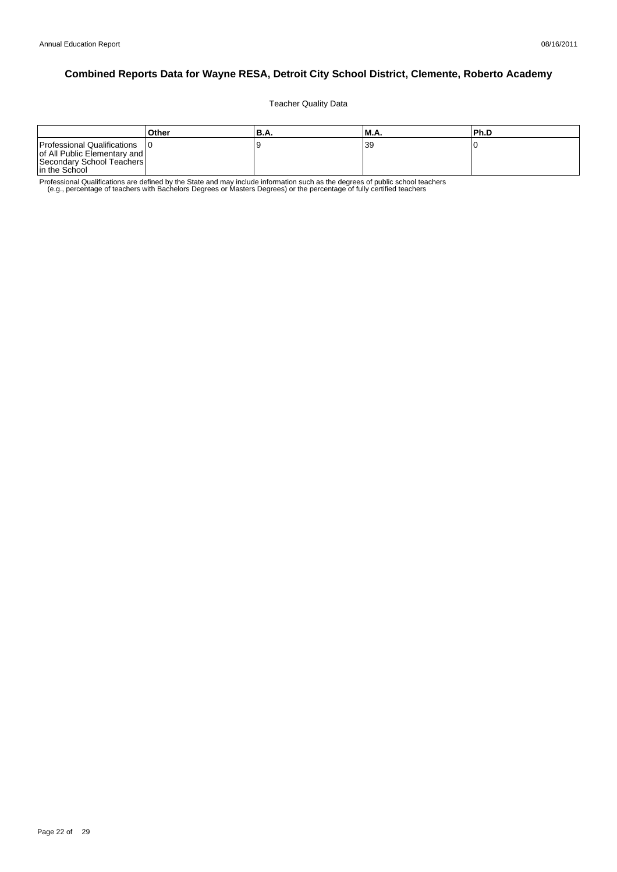Teacher Quality Data

|                                                                                                           | Other | <b>B.A.</b> | 'M.A. | Ph.D |
|-----------------------------------------------------------------------------------------------------------|-------|-------------|-------|------|
| Professional Qualifications<br>of All Public Elementary and<br>Secondary School Teachers<br>In the School |       |             | 39    |      |

Professional Qualifications are defined by the State and may include information such as the degrees of public school teachers<br>e.g., percentage of teachers with Bachelors Degrees or Masters Degrees) or the percentage of fu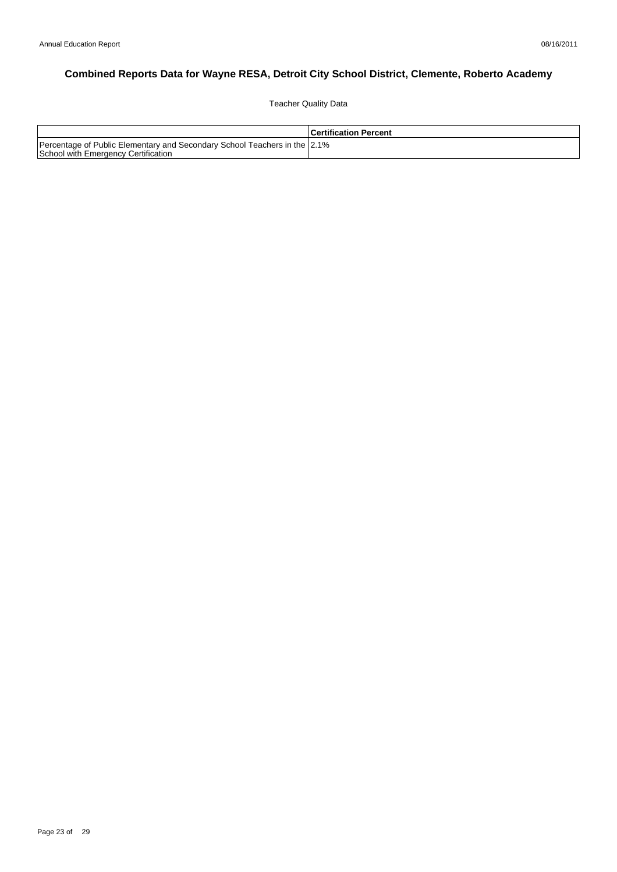Teacher Quality Data

|                                                                                                                  | <b>Certification Percent</b> |
|------------------------------------------------------------------------------------------------------------------|------------------------------|
| Percentage of Public Elementary and Secondary School Teachers in the 2.1%<br>School with Emergency Certification |                              |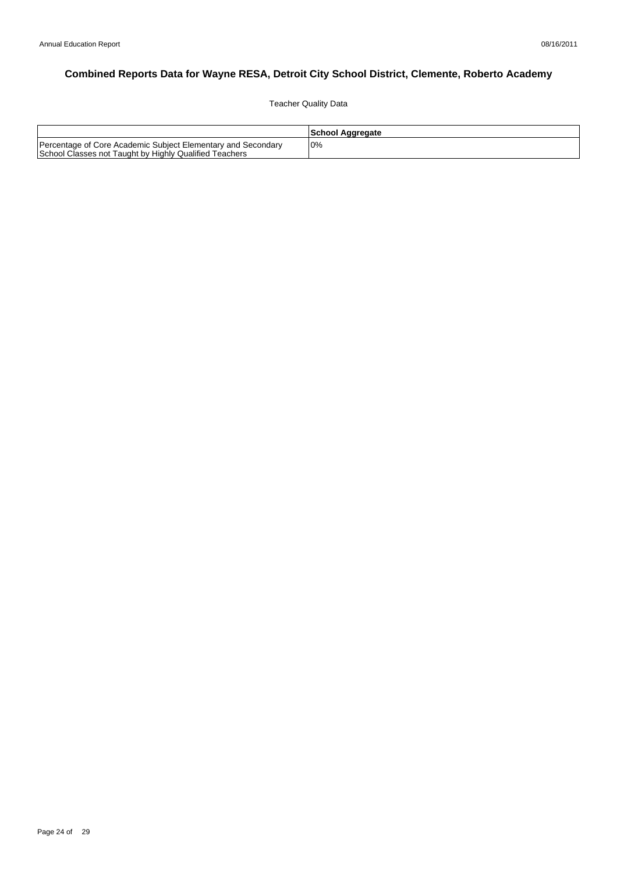Teacher Quality Data

|                                                                                                                        | School Aggregate |
|------------------------------------------------------------------------------------------------------------------------|------------------|
| Percentage of Core Academic Subject Elementary and Secondary<br>School Classes not Taught by Highly Qualified Teachers | 0%               |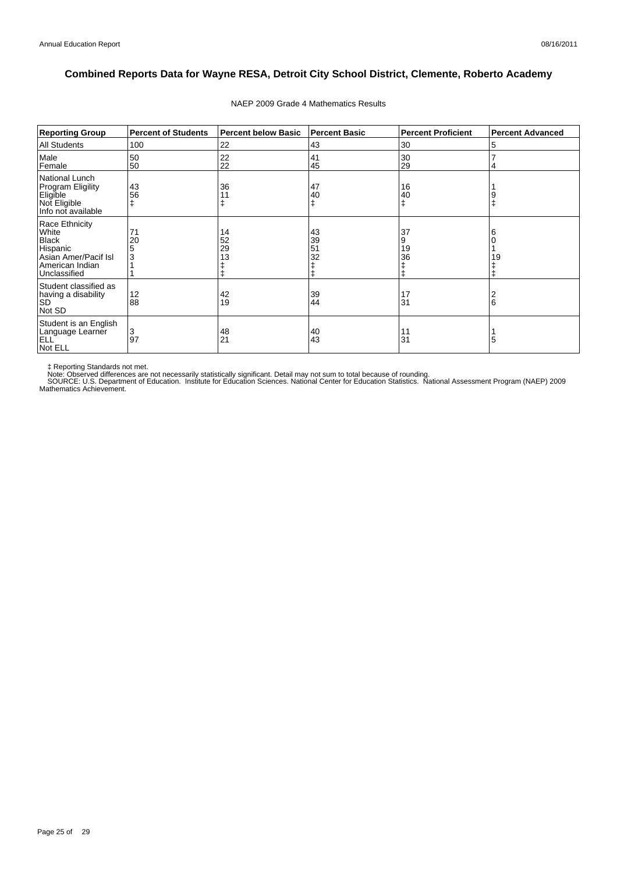| <b>Reporting Group</b>                                                                                         | <b>Percent of Students</b> | <b>Percent below Basic</b> | <b>Percent Basic</b> | <b>Percent Proficient</b> | <b>Percent Advanced</b> |
|----------------------------------------------------------------------------------------------------------------|----------------------------|----------------------------|----------------------|---------------------------|-------------------------|
| <b>All Students</b>                                                                                            | 100                        | 22                         | 43                   | 30                        | 5                       |
| Male<br>Female                                                                                                 | 50<br>50                   | 22<br>22                   | 41<br>45             | 30<br>29                  | 4                       |
| National Lunch<br><b>Program Eligility</b><br>Eligible<br>Not Eligible<br>Info not available                   | 43<br>56                   | 36                         | 47<br>40<br>ŧ        | 16<br>40<br>ŧ             | 9                       |
| Race Ethnicity<br>White<br><b>Black</b><br>Hispanic<br>Asian Amer/Pacif Isl<br>American Indian<br>Unclassified | 71<br>20<br>3              | 14<br>52<br>29<br>13       | 43<br>39<br>51<br>32 | 37<br>9<br>19<br>36       | 6<br>19                 |
| Student classified as<br>having a disability<br><b>SD</b><br>Not SD                                            | 12<br>88                   | 42<br>19                   | 39<br>44             | 17<br>31                  | 6                       |
| Student is an English<br>Language Learner<br><b>ELL</b><br>Not ELL                                             | 3<br>97                    | 48<br>21                   | 40<br>43             | 11<br>31                  | 5                       |

#### NAEP 2009 Grade 4 Mathematics Results

‡ Reporting Standards not met.<br>Note: Observed differences are not necessarily statistically significant. Detail may not sum to total because of rounding.<br>SOURCE: U.S. Department of Education. Institute for Education Scien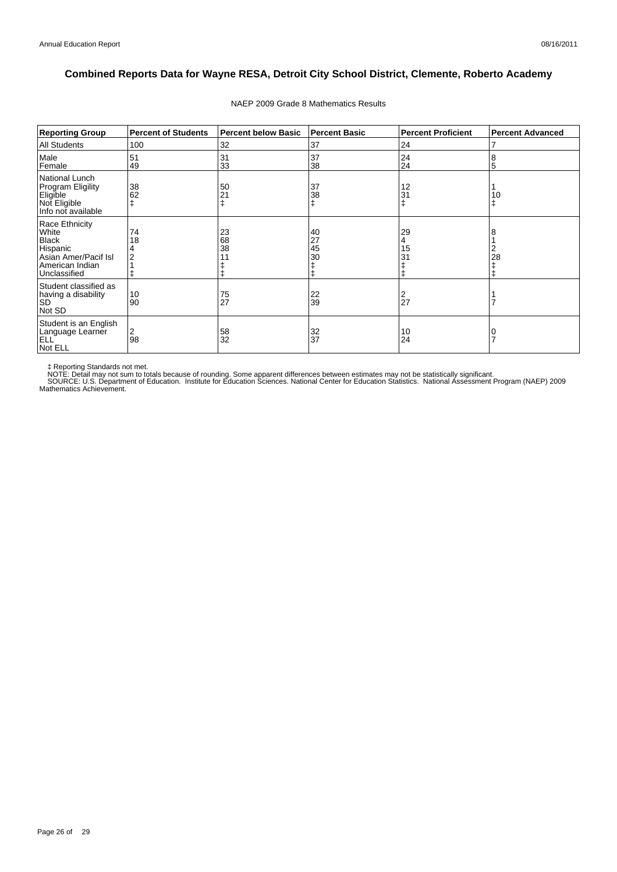| <b>Reporting Group</b>                                                                                         | <b>Percent of Students</b> | <b>Percent below Basic</b> | <b>Percent Basic</b> | <b>Percent Proficient</b> | <b>Percent Advanced</b> |
|----------------------------------------------------------------------------------------------------------------|----------------------------|----------------------------|----------------------|---------------------------|-------------------------|
| <b>All Students</b>                                                                                            | 100                        | 32                         | 37                   | 24                        | 7                       |
| Male<br>Female                                                                                                 | 51<br>49                   | 31<br>33                   | 37<br>38             | 24<br>24                  | 8<br>5                  |
| National Lunch<br><b>Program Eligility</b><br>Eligible<br>Not Eligible<br>Info not available                   | 38<br>62                   | 50<br>21                   | 37<br>38<br>ŧ        | 12<br>31                  | 10                      |
| Race Ethnicity<br>White<br><b>Black</b><br>Hispanic<br>Asian Amer/Pacif Isl<br>American Indian<br>Unclassified | 74<br>18                   | 23<br>68<br>38             | 40<br>27<br>45<br>30 | 29<br>15<br>31            | 8<br>2<br>28            |
| Student classified as<br>having a disability<br><b>SD</b><br>Not SD                                            | 10<br>90                   | 75<br>27                   | 22<br>39             | 27                        |                         |
| Student is an English<br>Language Learner<br><b>ELL</b><br>Not ELL                                             | 2<br>98                    | 58<br>32                   | 32<br>37             | 10<br>24                  | 7                       |

#### NAEP 2009 Grade 8 Mathematics Results

‡ Reporting Standards not met.<br>NOTE: Detail may not sum to totals because of rounding. Some apparent differences between estimates may not be statistically significant.<br>NOTE: Detail may not sum to totals because of roundin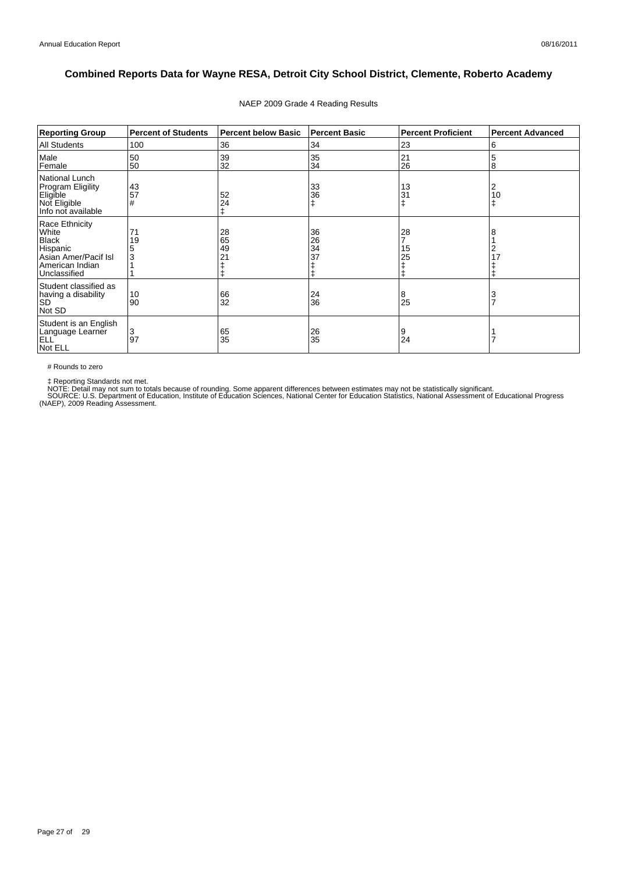| <b>Reporting Group</b>                                                                                         | <b>Percent of Students</b> | <b>Percent below Basic</b> | <b>Percent Basic</b> | <b>Percent Proficient</b> | <b>Percent Advanced</b> |
|----------------------------------------------------------------------------------------------------------------|----------------------------|----------------------------|----------------------|---------------------------|-------------------------|
| <b>All Students</b>                                                                                            | 100                        | 36                         | 34                   | 23                        | 6                       |
| Male<br>Female                                                                                                 | 50<br>50                   | 39<br>32                   | 35<br>34             | 21<br>26                  | 5<br>8                  |
| National Lunch<br><b>Program Eligility</b><br>Eligible<br>Not Eligible<br>Info not available                   | 43<br>57<br>#              | 52<br>24                   | 33<br>36<br>ŧ        | 13<br>31                  | 2<br>10<br>$\ddagger$   |
| Race Ethnicity<br>White<br><b>Black</b><br>Hispanic<br>Asian Amer/Pacif Isl<br>American Indian<br>Unclassified | 71<br>19<br>3              | 28<br>65<br>49<br>21       | 36<br>26<br>34<br>37 | 28<br>15<br>25<br>ŧ       | 8<br>2<br>17            |
| Student classified as<br>having a disability<br><b>SD</b><br>Not SD                                            | 10<br>90                   | 66<br>32                   | 24<br>36             | 8<br>25                   | 3<br>$\overline{7}$     |
| Student is an English<br>Language Learner<br>ELL <sup>'</sup><br>Not ELL                                       | 3<br>97                    | 65<br>35                   | 26<br>35             | 9<br>24                   |                         |

#### NAEP 2009 Grade 4 Reading Results

# Rounds to zero

‡ Reporting Standards not met.<br>NOTE: Detail may not sum to totals because of rounding. Some apparent differences between estimates may not be statistically significant.<br>SOURCE: U.S. Department of Education, Institute of Ed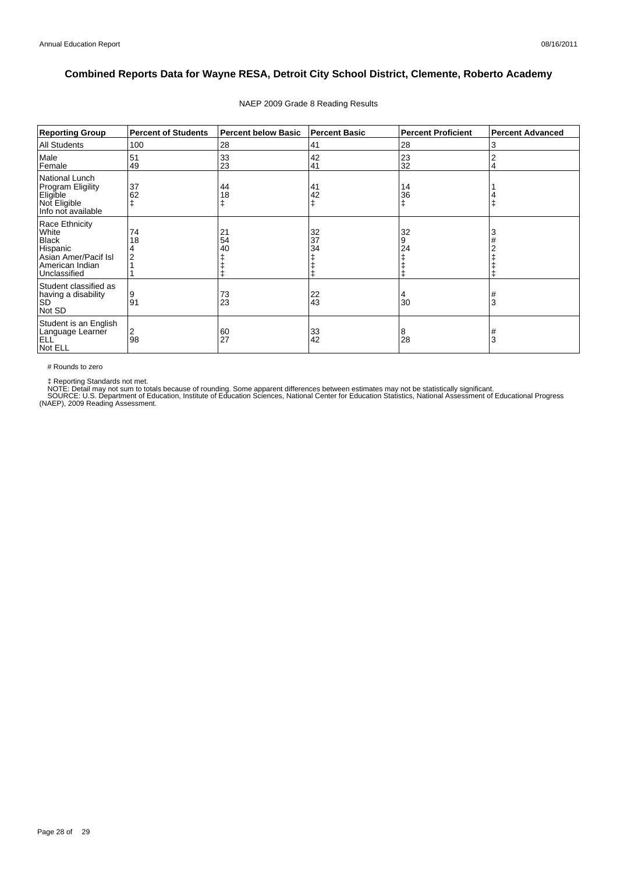| <b>Reporting Group</b>                                                                                         | <b>Percent of Students</b> | <b>Percent below Basic</b> | <b>Percent Basic</b> | <b>Percent Proficient</b> | <b>Percent Advanced</b> |
|----------------------------------------------------------------------------------------------------------------|----------------------------|----------------------------|----------------------|---------------------------|-------------------------|
| <b>All Students</b>                                                                                            | 100                        | 28                         | 41                   | 28                        | 3                       |
| Male<br>Female                                                                                                 | 51<br>49                   | 33<br>23                   | 42<br>41             | 23<br>32                  | $\overline{2}$<br>4     |
| National Lunch<br><b>Program Eligility</b><br>Eligible<br>Not Eligible<br>Info not available                   | 37<br>62                   | 44<br>18                   | 41<br>42<br>ŧ        | 14<br>36<br>ŧ             |                         |
| Race Ethnicity<br>White<br><b>Black</b><br>Hispanic<br>Asian Amer/Pacif Isl<br>American Indian<br>Unclassified | 74<br>18                   | 21<br>54<br>40             | 32<br>37<br>34       | 32<br>9<br>24             | 3                       |
| Student classified as<br>having a disability<br><b>SD</b><br>Not SD                                            | 9<br>91                    | 73<br>23                   | 22<br>43             | 30                        | #<br>3                  |
| Student is an English<br>Language Learner<br>ELL <sup>'</sup><br>Not ELL                                       | 2<br>98                    | 60<br>27                   | 33<br>42             | 8<br>28                   | #<br>3                  |

#### NAEP 2009 Grade 8 Reading Results

# Rounds to zero

‡ Reporting Standards not met.<br>NOTE: Detail may not sum to totals because of rounding. Some apparent differences between estimates may not be statistically significant.<br>SOURCE: U.S. Department of Education, Institute of Ed